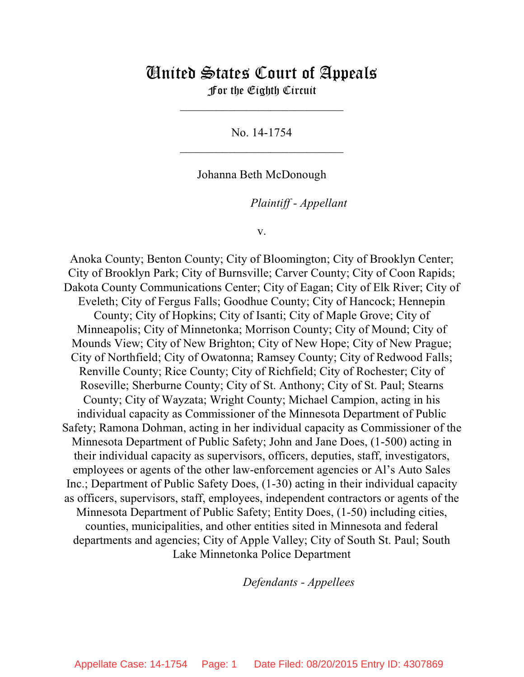# United States Court of Appeals For the Eighth Circuit

\_\_\_\_\_\_\_\_\_\_\_\_\_\_\_\_\_\_\_\_\_\_\_\_\_\_\_

No. 14-1754  $\mathcal{L}_\text{max}$  , which is a set of the set of the set of the set of the set of the set of the set of the set of the set of the set of the set of the set of the set of the set of the set of the set of the set of the set of

Johanna Beth McDonough

lllllllllllllllllllll *Plaintiff - Appellant*

v.

Anoka County; Benton County; City of Bloomington; City of Brooklyn Center; City of Brooklyn Park; City of Burnsville; Carver County; City of Coon Rapids; Dakota County Communications Center; City of Eagan; City of Elk River; City of Eveleth; City of Fergus Falls; Goodhue County; City of Hancock; Hennepin County; City of Hopkins; City of Isanti; City of Maple Grove; City of Minneapolis; City of Minnetonka; Morrison County; City of Mound; City of Mounds View; City of New Brighton; City of New Hope; City of New Prague; City of Northfield; City of Owatonna; Ramsey County; City of Redwood Falls; Renville County; Rice County; City of Richfield; City of Rochester; City of Roseville; Sherburne County; City of St. Anthony; City of St. Paul; Stearns County; City of Wayzata; Wright County; Michael Campion, acting in his individual capacity as Commissioner of the Minnesota Department of Public Safety; Ramona Dohman, acting in her individual capacity as Commissioner of the Minnesota Department of Public Safety; John and Jane Does, (1-500) acting in their individual capacity as supervisors, officers, deputies, staff, investigators, employees or agents of the other law-enforcement agencies or Al's Auto Sales Inc.; Department of Public Safety Does, (1-30) acting in their individual capacity as officers, supervisors, staff, employees, independent contractors or agents of the Minnesota Department of Public Safety; Entity Does, (1-50) including cities, counties, municipalities, and other entities sited in Minnesota and federal departments and agencies; City of Apple Valley; City of South St. Paul; South Lake Minnetonka Police Department

lllllllllllllllllllll *Defendants - Appellees*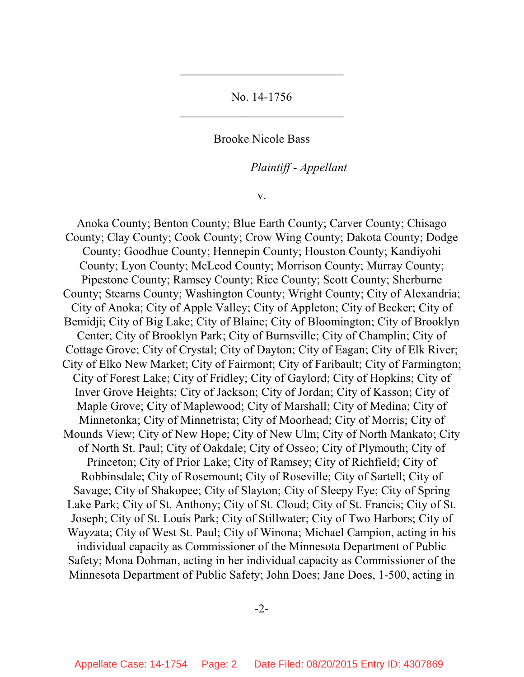No. 14-1756 \_\_\_\_\_\_\_\_\_\_\_\_\_\_\_\_\_\_\_\_\_\_\_\_\_\_\_

 $\mathcal{L}_\text{max}$  , which is a set of the set of the set of the set of the set of the set of the set of the set of the set of the set of the set of the set of the set of the set of the set of the set of the set of the set of

Brooke Nicole Bass

lllllllllllllllllllll *Plaintiff - Appellant*

v.

Anoka County; Benton County; Blue Earth County; Carver County; Chisago County; Clay County; Cook County; Crow Wing County; Dakota County; Dodge County; Goodhue County; Hennepin County; Houston County; Kandiyohi County; Lyon County; McLeod County; Morrison County; Murray County; Pipestone County; Ramsey County; Rice County; Scott County; Sherburne County; Stearns County; Washington County; Wright County; City of Alexandria; City of Anoka; City of Apple Valley; City of Appleton; City of Becker; City of Bemidji; City of Big Lake; City of Blaine; City of Bloomington; City of Brooklyn Center; City of Brooklyn Park; City of Burnsville; City of Champlin; City of Cottage Grove; City of Crystal; City of Dayton; City of Eagan; City of Elk River; City of Elko New Market; City of Fairmont; City of Faribault; City of Farmington; City of Forest Lake; City of Fridley; City of Gaylord; City of Hopkins; City of Inver Grove Heights; City of Jackson; City of Jordan; City of Kasson; City of Maple Grove; City of Maplewood; City of Marshall; City of Medina; City of Minnetonka; City of Minnetrista; City of Moorhead; City of Morris; City of Mounds View; City of New Hope; City of New Ulm; City of North Mankato; City of North St. Paul; City of Oakdale; City of Osseo; City of Plymouth; City of Princeton; City of Prior Lake; City of Ramsey; City of Richfield; City of Robbinsdale; City of Rosemount; City of Roseville; City of Sartell; City of Savage; City of Shakopee; City of Slayton; City of Sleepy Eye; City of Spring Lake Park; City of St. Anthony; City of St. Cloud; City of St. Francis; City of St. Joseph; City of St. Louis Park; City of Stillwater; City of Two Harbors; City of Wayzata; City of West St. Paul; City of Winona; Michael Campion, acting in his individual capacity as Commissioner of the Minnesota Department of Public Safety; Mona Dohman, acting in her individual capacity as Commissioner of the Minnesota Department of Public Safety; John Does; Jane Does, 1-500, acting in

-2-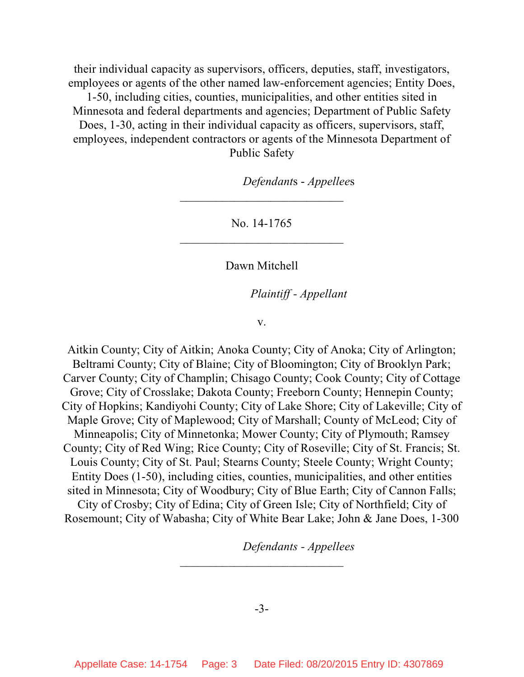their individual capacity as supervisors, officers, deputies, staff, investigators, employees or agents of the other named law-enforcement agencies; Entity Does, 1-50, including cities, counties, municipalities, and other entities sited in Minnesota and federal departments and agencies; Department of Public Safety Does, 1-30, acting in their individual capacity as officers, supervisors, staff, employees, independent contractors or agents of the Minnesota Department of Public Safety

*Defendants - Appellees* 

No. 14-1765  $\mathcal{L}_\text{max}$  , which is a set of the set of the set of the set of the set of the set of the set of the set of the set of the set of the set of the set of the set of the set of the set of the set of the set of the set of

\_\_\_\_\_\_\_\_\_\_\_\_\_\_\_\_\_\_\_\_\_\_\_\_\_\_\_

Dawn Mitchell

lllllllllllllllllllll *Plaintiff - Appellant*

v.

Aitkin County; City of Aitkin; Anoka County; City of Anoka; City of Arlington; Beltrami County; City of Blaine; City of Bloomington; City of Brooklyn Park; Carver County; City of Champlin; Chisago County; Cook County; City of Cottage Grove; City of Crosslake; Dakota County; Freeborn County; Hennepin County; City of Hopkins; Kandiyohi County; City of Lake Shore; City of Lakeville; City of Maple Grove; City of Maplewood; City of Marshall; County of McLeod; City of Minneapolis; City of Minnetonka; Mower County; City of Plymouth; Ramsey County; City of Red Wing; Rice County; City of Roseville; City of St. Francis; St. Louis County; City of St. Paul; Stearns County; Steele County; Wright County; Entity Does (1-50), including cities, counties, municipalities, and other entities sited in Minnesota; City of Woodbury; City of Blue Earth; City of Cannon Falls; City of Crosby; City of Edina; City of Green Isle; City of Northfield; City of Rosemount; City of Wabasha; City of White Bear Lake; John & Jane Does, 1-300

*Defendants - Appellees* 

\_\_\_\_\_\_\_\_\_\_\_\_\_\_\_\_\_\_\_\_\_\_\_\_\_\_\_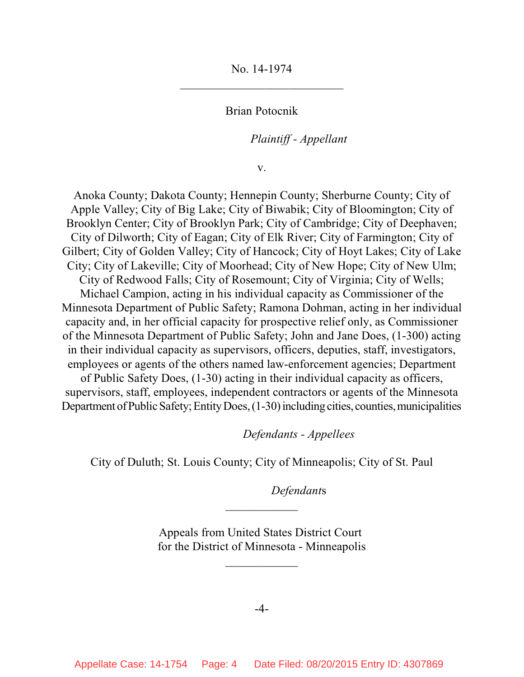No. 14-1974  $\mathcal{L}_\text{max}$  , which is a set of the set of the set of the set of the set of the set of the set of the set of the set of the set of the set of the set of the set of the set of the set of the set of the set of the set of

Brian Potocnik

lllllllllllllllllllll *Plaintiff - Appellant*

v.

Anoka County; Dakota County; Hennepin County; Sherburne County; City of Apple Valley; City of Big Lake; City of Biwabik; City of Bloomington; City of Brooklyn Center; City of Brooklyn Park; City of Cambridge; City of Deephaven; City of Dilworth; City of Eagan; City of Elk River; City of Farmington; City of Gilbert; City of Golden Valley; City of Hancock; City of Hoyt Lakes; City of Lake City; City of Lakeville; City of Moorhead; City of New Hope; City of New Ulm; City of Redwood Falls; City of Rosemount; City of Virginia; City of Wells; Michael Campion, acting in his individual capacity as Commissioner of the Minnesota Department of Public Safety; Ramona Dohman, acting in her individual capacity and, in her official capacity for prospective relief only, as Commissioner of the Minnesota Department of Public Safety; John and Jane Does, (1-300) acting in their individual capacity as supervisors, officers, deputies, staff, investigators, employees or agents of the others named law-enforcement agencies; Department of Public Safety Does, (1-30) acting in their individual capacity as officers, supervisors, staff, employees, independent contractors or agents of the Minnesota

lllllllllllllllllllll *Defendants - Appellees*

City of Duluth; St. Louis County; City of Minneapolis; City of St. Paul

Department of Public Safety; Entity Does, (1-30) including cities, counties, municipalities

Defendants

Appeals from United States District Court for the District of Minnesota - Minneapolis

\_\_\_\_\_\_\_\_\_\_\_\_

 $\frac{1}{2}$ 

-4-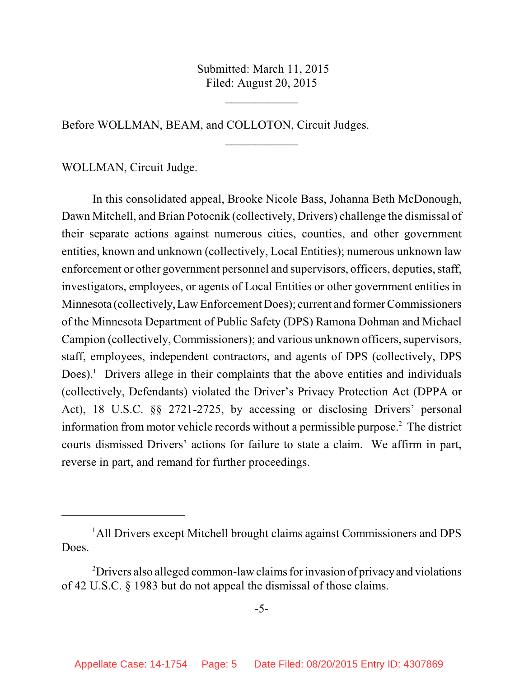Submitted: March 11, 2015 Filed: August 20, 2015

 $\frac{1}{2}$ 

 $\frac{1}{2}$ 

Before WOLLMAN, BEAM, and COLLOTON, Circuit Judges.

WOLLMAN, Circuit Judge.

In this consolidated appeal, Brooke Nicole Bass, Johanna Beth McDonough, Dawn Mitchell, and Brian Potocnik (collectively, Drivers) challenge the dismissal of their separate actions against numerous cities, counties, and other government entities, known and unknown (collectively, Local Entities); numerous unknown law enforcement or other government personnel and supervisors, officers, deputies, staff, investigators, employees, or agents of Local Entities or other government entities in Minnesota (collectively,Law Enforcement Does); current and former Commissioners of the Minnesota Department of Public Safety (DPS) Ramona Dohman and Michael Campion (collectively, Commissioners); and various unknown officers, supervisors, staff, employees, independent contractors, and agents of DPS (collectively, DPS Does).<sup>1</sup> Drivers allege in their complaints that the above entities and individuals (collectively, Defendants) violated the Driver's Privacy Protection Act (DPPA or Act), 18 U.S.C. §§ 2721-2725, by accessing or disclosing Drivers' personal information from motor vehicle records without a permissible purpose. $2$  The district courts dismissed Drivers' actions for failure to state a claim. We affirm in part, reverse in part, and remand for further proceedings.

<sup>&</sup>lt;sup>1</sup>All Drivers except Mitchell brought claims against Commissioners and DPS Does.

<sup>&</sup>lt;sup>2</sup> Drivers also alleged common-law claims for invasion of privacy and violations of 42 U.S.C. § 1983 but do not appeal the dismissal of those claims.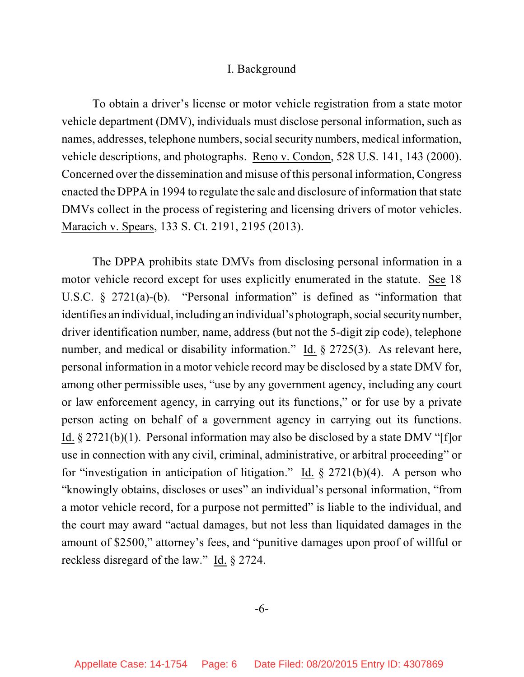#### I. Background

To obtain a driver's license or motor vehicle registration from a state motor vehicle department (DMV), individuals must disclose personal information, such as names, addresses, telephone numbers, social security numbers, medical information, vehicle descriptions, and photographs. Reno v. Condon, 528 U.S. 141, 143 (2000). Concerned over the dissemination and misuse of this personal information, Congress enacted the DPPA in 1994 to regulate the sale and disclosure of information that state DMVs collect in the process of registering and licensing drivers of motor vehicles. Maracich v. Spears, 133 S. Ct. 2191, 2195 (2013).

The DPPA prohibits state DMVs from disclosing personal information in a motor vehicle record except for uses explicitly enumerated in the statute. See 18 U.S.C. § 2721(a)-(b). "Personal information" is defined as "information that identifies an individual, including an individual's photograph, social security number, driver identification number, name, address (but not the 5-digit zip code), telephone number, and medical or disability information." Id. § 2725(3). As relevant here, personal information in a motor vehicle record may be disclosed by a state DMV for, among other permissible uses, "use by any government agency, including any court or law enforcement agency, in carrying out its functions," or for use by a private person acting on behalf of a government agency in carrying out its functions. Id. § 2721(b)(1). Personal information may also be disclosed by a state DMV "[f]or use in connection with any civil, criminal, administrative, or arbitral proceeding" or for "investigation in anticipation of litigation." Id.  $\S 2721(b)(4)$ . A person who "knowingly obtains, discloses or uses" an individual's personal information, "from a motor vehicle record, for a purpose not permitted" is liable to the individual, and the court may award "actual damages, but not less than liquidated damages in the amount of \$2500," attorney's fees, and "punitive damages upon proof of willful or reckless disregard of the law." Id. § 2724.

-6-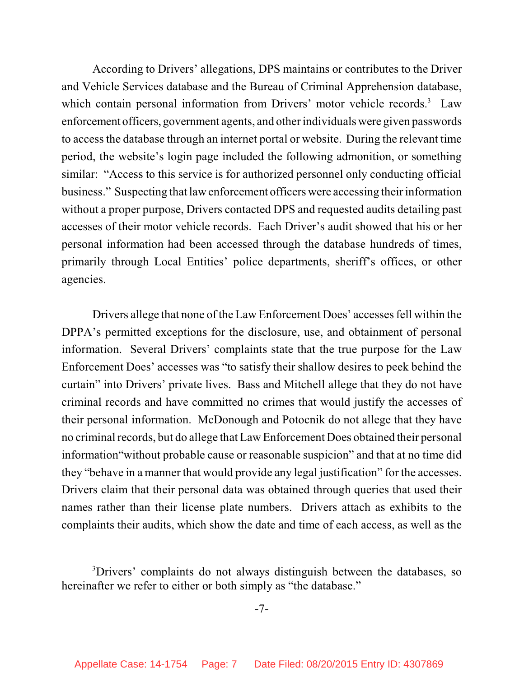According to Drivers' allegations, DPS maintains or contributes to the Driver and Vehicle Services database and the Bureau of Criminal Apprehension database, which contain personal information from Drivers' motor vehicle records.<sup>3</sup> Law enforcement officers, government agents, and other individuals were given passwords to accessthe database through an internet portal or website. During the relevant time period, the website's login page included the following admonition, or something similar: "Access to this service is for authorized personnel only conducting official business." Suspecting that law enforcement officers were accessing their information without a proper purpose, Drivers contacted DPS and requested audits detailing past accesses of their motor vehicle records. Each Driver's audit showed that his or her personal information had been accessed through the database hundreds of times, primarily through Local Entities' police departments, sheriff's offices, or other agencies.

Drivers allege that none of the Law Enforcement Does' accessesfell within the DPPA's permitted exceptions for the disclosure, use, and obtainment of personal information. Several Drivers' complaints state that the true purpose for the Law Enforcement Does' accesses was "to satisfy their shallow desires to peek behind the curtain" into Drivers' private lives. Bass and Mitchell allege that they do not have criminal records and have committed no crimes that would justify the accesses of their personal information. McDonough and Potocnik do not allege that they have no criminal records, but do allege that Law Enforcement Does obtained their personal information"without probable cause or reasonable suspicion" and that at no time did they "behave in a manner that would provide any legal justification" for the accesses. Drivers claim that their personal data was obtained through queries that used their names rather than their license plate numbers. Drivers attach as exhibits to the complaints their audits, which show the date and time of each access, as well as the

<sup>&</sup>lt;sup>3</sup>Drivers' complaints do not always distinguish between the databases, so hereinafter we refer to either or both simply as "the database."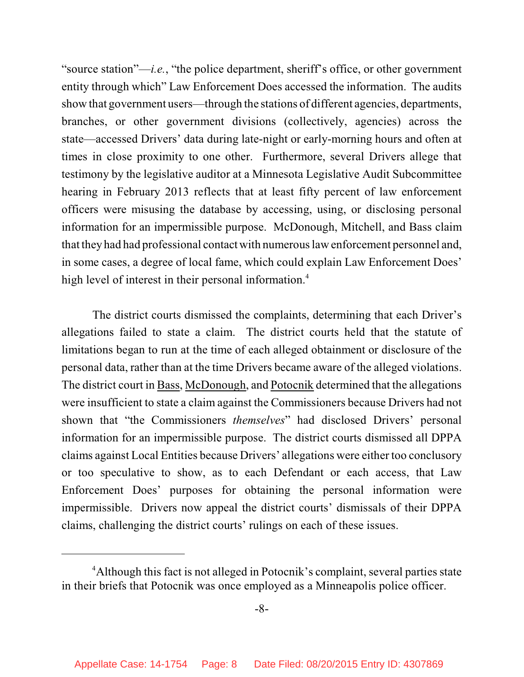"source station"—*i.e.*, "the police department, sheriff's office, or other government entity through which" Law Enforcement Does accessed the information. The audits show that government users—through the stations of different agencies, departments, branches, or other government divisions (collectively, agencies) across the state—accessed Drivers' data during late-night or early-morning hours and often at times in close proximity to one other. Furthermore, several Drivers allege that testimony by the legislative auditor at a Minnesota Legislative Audit Subcommittee hearing in February 2013 reflects that at least fifty percent of law enforcement officers were misusing the database by accessing, using, or disclosing personal information for an impermissible purpose. McDonough, Mitchell, and Bass claim that they had had professional contact with numerouslaw enforcement personnel and, in some cases, a degree of local fame, which could explain Law Enforcement Does' high level of interest in their personal information.<sup>4</sup>

The district courts dismissed the complaints, determining that each Driver's allegations failed to state a claim. The district courts held that the statute of limitations began to run at the time of each alleged obtainment or disclosure of the personal data, rather than at the time Drivers became aware of the alleged violations. The district court in Bass, McDonough, and Potocnik determined that the allegations were insufficient to state a claim against the Commissioners because Drivers had not shown that "the Commissioners *themselves*" had disclosed Drivers' personal information for an impermissible purpose. The district courts dismissed all DPPA claims against Local Entities because Drivers' allegations were either too conclusory or too speculative to show, as to each Defendant or each access, that Law Enforcement Does' purposes for obtaining the personal information were impermissible. Drivers now appeal the district courts' dismissals of their DPPA claims, challenging the district courts' rulings on each of these issues.

<sup>&</sup>lt;sup>4</sup>Although this fact is not alleged in Potocnik's complaint, several parties state in their briefs that Potocnik was once employed as a Minneapolis police officer.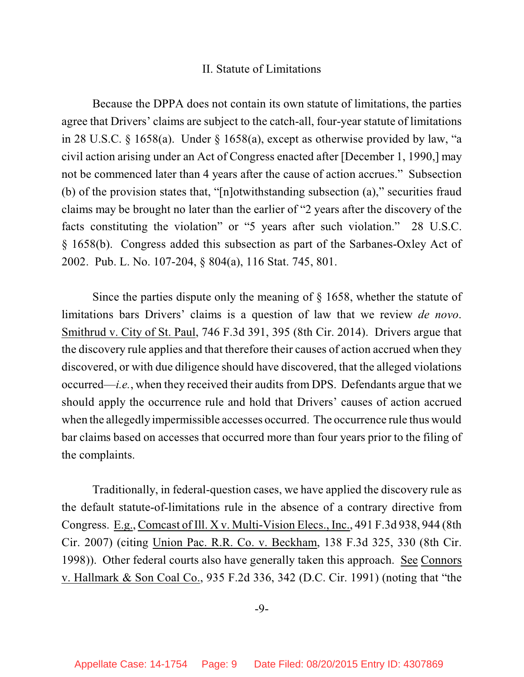#### II. Statute of Limitations

Because the DPPA does not contain its own statute of limitations, the parties agree that Drivers' claims are subject to the catch-all, four-year statute of limitations in 28 U.S.C. § 1658(a). Under § 1658(a), except as otherwise provided by law, "a civil action arising under an Act of Congress enacted after [December 1, 1990,] may not be commenced later than 4 years after the cause of action accrues." Subsection (b) of the provision states that, "[n]otwithstanding subsection (a)," securities fraud claims may be brought no later than the earlier of "2 years after the discovery of the facts constituting the violation" or "5 years after such violation." 28 U.S.C. § 1658(b). Congress added this subsection as part of the Sarbanes-Oxley Act of 2002. Pub. L. No. 107-204, § 804(a), 116 Stat. 745, 801.

Since the parties dispute only the meaning of § 1658, whether the statute of limitations bars Drivers' claims is a question of law that we review *de novo*. Smithrud v. City of St. Paul, 746 F.3d 391, 395 (8th Cir. 2014). Drivers argue that the discovery rule applies and that therefore their causes of action accrued when they discovered, or with due diligence should have discovered, that the alleged violations occurred—*i.e.*, when they received their audits from DPS. Defendants argue that we should apply the occurrence rule and hold that Drivers' causes of action accrued when the allegedly impermissible accesses occurred. The occurrence rule thus would bar claims based on accesses that occurred more than four years prior to the filing of the complaints.

Traditionally, in federal-question cases, we have applied the discovery rule as the default statute-of-limitations rule in the absence of a contrary directive from Congress. E.g., Comcast of Ill. X v. Multi-Vision Elecs., Inc., 491 F.3d 938, 944 (8th Cir. 2007) (citing Union Pac. R.R. Co. v. Beckham, 138 F.3d 325, 330 (8th Cir. 1998)). Other federal courts also have generally taken this approach. See Connors v. Hallmark & Son Coal Co., 935 F.2d 336, 342 (D.C. Cir. 1991) (noting that "the

-9-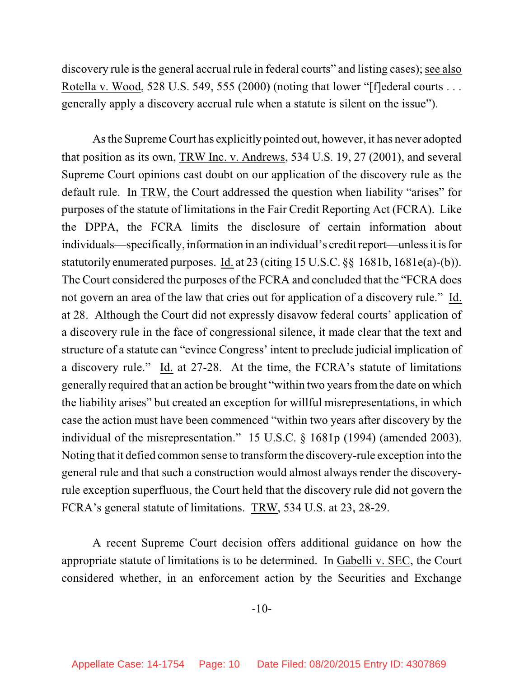discovery rule is the general accrual rule in federal courts" and listing cases); see also Rotella v. Wood, 528 U.S. 549, 555 (2000) (noting that lower "[f]ederal courts . . . generally apply a discovery accrual rule when a statute is silent on the issue").

As the Supreme Court has explicitly pointed out, however, it has never adopted that position as its own, TRW Inc. v. Andrews, 534 U.S. 19, 27 (2001), and several Supreme Court opinions cast doubt on our application of the discovery rule as the default rule. In TRW, the Court addressed the question when liability "arises" for purposes of the statute of limitations in the Fair Credit Reporting Act (FCRA). Like the DPPA, the FCRA limits the disclosure of certain information about individuals—specifically, information in an individual's creditreport—unless it is for statutorily enumerated purposes. Id. at 23 (citing 15 U.S.C. §§ 1681b, 1681e(a)-(b)). The Court considered the purposes of the FCRA and concluded that the "FCRA does not govern an area of the law that cries out for application of a discovery rule." Id. at 28. Although the Court did not expressly disavow federal courts' application of a discovery rule in the face of congressional silence, it made clear that the text and structure of a statute can "evince Congress' intent to preclude judicial implication of a discovery rule." Id. at 27-28. At the time, the FCRA's statute of limitations generally required that an action be brought "within two yearsfromthe date on which the liability arises" but created an exception for willful misrepresentations, in which case the action must have been commenced "within two years after discovery by the individual of the misrepresentation." 15 U.S.C. § 1681p (1994) (amended 2003). Noting that it defied common sense to transformthe discovery-rule exception into the general rule and that such a construction would almost always render the discoveryrule exception superfluous, the Court held that the discovery rule did not govern the FCRA's general statute of limitations. TRW, 534 U.S. at 23, 28-29.

A recent Supreme Court decision offers additional guidance on how the appropriate statute of limitations is to be determined. In Gabelli v. SEC, the Court considered whether, in an enforcement action by the Securities and Exchange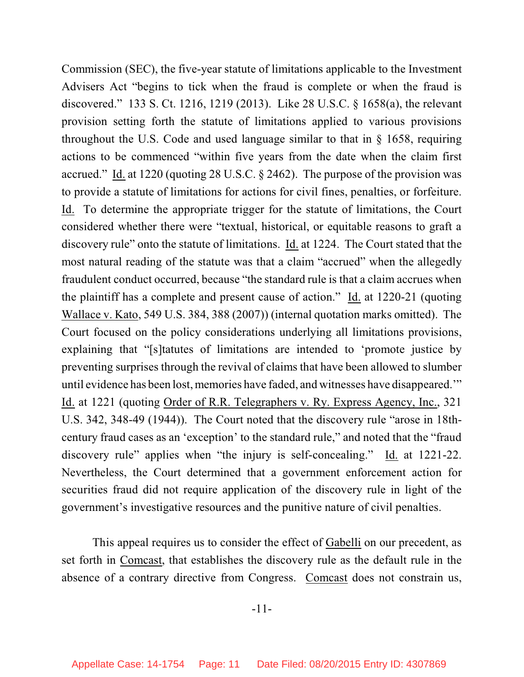Commission (SEC), the five-year statute of limitations applicable to the Investment Advisers Act "begins to tick when the fraud is complete or when the fraud is discovered." 133 S. Ct. 1216, 1219 (2013). Like 28 U.S.C. § 1658(a), the relevant provision setting forth the statute of limitations applied to various provisions throughout the U.S. Code and used language similar to that in § 1658, requiring actions to be commenced "within five years from the date when the claim first accrued." Id. at 1220 (quoting 28 U.S.C. § 2462). The purpose of the provision was to provide a statute of limitations for actions for civil fines, penalties, or forfeiture. Id. To determine the appropriate trigger for the statute of limitations, the Court considered whether there were "textual, historical, or equitable reasons to graft a discovery rule" onto the statute of limitations. Id. at 1224. The Court stated that the most natural reading of the statute was that a claim "accrued" when the allegedly fraudulent conduct occurred, because "the standard rule is that a claim accrues when the plaintiff has a complete and present cause of action." Id. at 1220-21 (quoting Wallace v. Kato, 549 U.S. 384, 388 (2007)) (internal quotation marks omitted). The Court focused on the policy considerations underlying all limitations provisions, explaining that "[s]tatutes of limitations are intended to 'promote justice by preventing surprises through the revival of claims that have been allowed to slumber until evidence has been lost, memories have faded, and witnesses have disappeared.'" Id. at 1221 (quoting Order of R.R. Telegraphers v. Ry. Express Agency, Inc., 321 U.S. 342, 348-49 (1944)). The Court noted that the discovery rule "arose in 18thcentury fraud cases as an 'exception' to the standard rule," and noted that the "fraud discovery rule" applies when "the injury is self-concealing." Id. at 1221-22. Nevertheless, the Court determined that a government enforcement action for securities fraud did not require application of the discovery rule in light of the government's investigative resources and the punitive nature of civil penalties.

This appeal requires us to consider the effect of Gabelli on our precedent, as set forth in Comcast, that establishes the discovery rule as the default rule in the absence of a contrary directive from Congress. Comcast does not constrain us,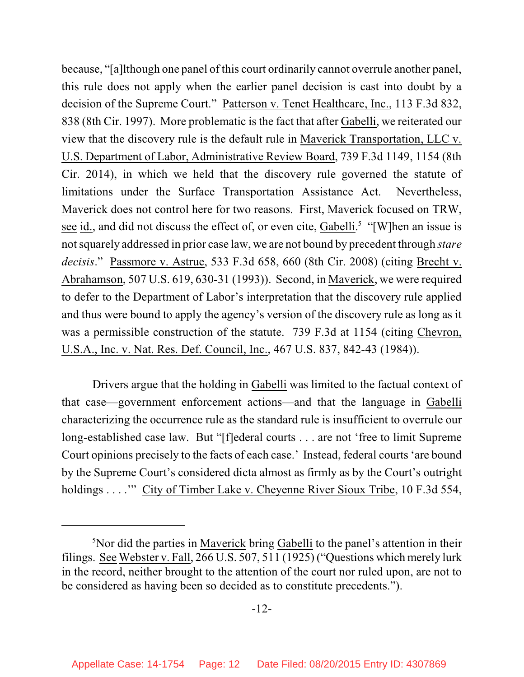because, "[a]lthough one panel of this court ordinarily cannot overrule another panel, this rule does not apply when the earlier panel decision is cast into doubt by a decision of the Supreme Court." Patterson v. Tenet Healthcare, Inc., 113 F.3d 832, 838 (8th Cir. 1997). More problematic is the fact that after Gabelli, we reiterated our view that the discovery rule is the default rule in Maverick Transportation, LLC v. U.S. Department of Labor, Administrative Review Board, 739 F.3d 1149, 1154 (8th Cir. 2014), in which we held that the discovery rule governed the statute of limitations under the Surface Transportation Assistance Act. Nevertheless, Maverick does not control here for two reasons. First, Maverick focused on TRW, see id., and did not discuss the effect of, or even cite, Gabelli.<sup>5</sup> "[W]hen an issue is not squarely addressed in prior case law, we are not bound by precedent through *stare decisis*." Passmore v. Astrue, 533 F.3d 658, 660 (8th Cir. 2008) (citing Brecht v. Abrahamson, 507 U.S. 619, 630-31 (1993)). Second, in Maverick, we were required to defer to the Department of Labor's interpretation that the discovery rule applied and thus were bound to apply the agency's version of the discovery rule as long as it was a permissible construction of the statute. 739 F.3d at 1154 (citing Chevron, U.S.A., Inc. v. Nat. Res. Def. Council, Inc., 467 U.S. 837, 842-43 (1984)).

Drivers argue that the holding in Gabelli was limited to the factual context of that case—government enforcement actions—and that the language in Gabelli characterizing the occurrence rule as the standard rule is insufficient to overrule our long-established case law. But "[f]ederal courts . . . are not 'free to limit Supreme Court opinions precisely to the facts of each case.' Instead, federal courts 'are bound by the Supreme Court's considered dicta almost as firmly as by the Court's outright holdings . . . . " City of Timber Lake v. Cheyenne River Sioux Tribe, 10 F.3d 554,

<sup>&</sup>lt;sup>5</sup>Nor did the parties in Maverick bring Gabelli to the panel's attention in their filings. See Webster v. Fall, 266 U.S. 507, 511 (1925) ("Questions which merely lurk in the record, neither brought to the attention of the court nor ruled upon, are not to be considered as having been so decided as to constitute precedents.").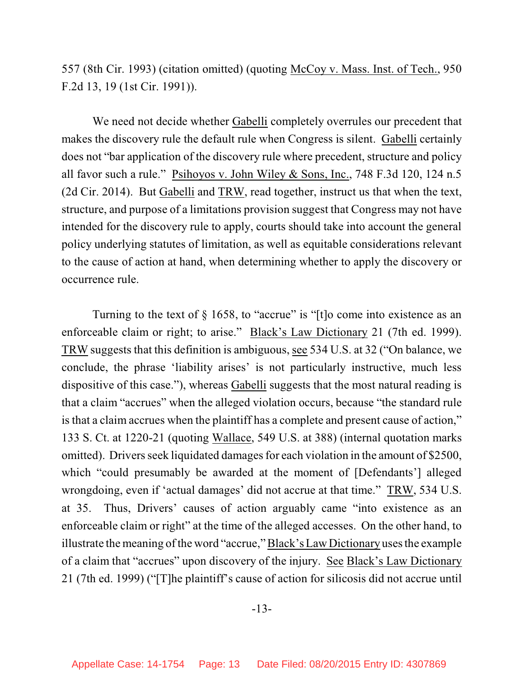557 (8th Cir. 1993) (citation omitted) (quoting McCoy v. Mass. Inst. of Tech., 950 F.2d 13, 19 (1st Cir. 1991)).

We need not decide whether Gabelli completely overrules our precedent that makes the discovery rule the default rule when Congress is silent. Gabelli certainly does not "bar application of the discovery rule where precedent, structure and policy all favor such a rule." Psihoyos v. John Wiley & Sons, Inc., 748 F.3d 120, 124 n.5 (2d Cir. 2014). But Gabelli and TRW, read together, instruct us that when the text, structure, and purpose of a limitations provision suggest that Congress may not have intended for the discovery rule to apply, courts should take into account the general policy underlying statutes of limitation, as well as equitable considerations relevant to the cause of action at hand, when determining whether to apply the discovery or occurrence rule.

Turning to the text of  $\S$  1658, to "accrue" is "[t]o come into existence as an enforceable claim or right; to arise." Black's Law Dictionary 21 (7th ed. 1999). TRW suggests that this definition is ambiguous, see 534 U.S. at 32 ("On balance, we conclude, the phrase 'liability arises' is not particularly instructive, much less dispositive of this case."), whereas Gabelli suggests that the most natural reading is that a claim "accrues" when the alleged violation occurs, because "the standard rule is that a claim accrues when the plaintiff has a complete and present cause of action," 133 S. Ct. at 1220-21 (quoting Wallace, 549 U.S. at 388) (internal quotation marks omitted). Drivers seek liquidated damages for each violation in the amount of \$2500, which "could presumably be awarded at the moment of [Defendants'] alleged wrongdoing, even if 'actual damages' did not accrue at that time." TRW, 534 U.S. at 35. Thus, Drivers' causes of action arguably came "into existence as an enforceable claim or right" at the time of the alleged accesses. On the other hand, to illustrate the meaning of the word "accrue," Black's Law Dictionary uses the example of a claim that "accrues" upon discovery of the injury. See Black's Law Dictionary 21 (7th ed. 1999) ("[T]he plaintiff's cause of action for silicosis did not accrue until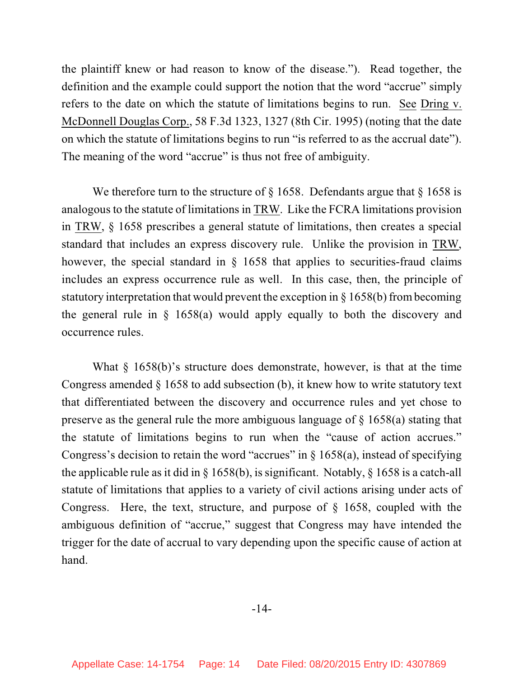the plaintiff knew or had reason to know of the disease."). Read together, the definition and the example could support the notion that the word "accrue" simply refers to the date on which the statute of limitations begins to run. See Dring v. McDonnell Douglas Corp., 58 F.3d 1323, 1327 (8th Cir. 1995) (noting that the date on which the statute of limitations begins to run "is referred to as the accrual date"). The meaning of the word "accrue" is thus not free of ambiguity.

We therefore turn to the structure of  $\S$  1658. Defendants argue that  $\S$  1658 is analogous to the statute of limitations in TRW. Like the FCRA limitations provision in TRW, § 1658 prescribes a general statute of limitations, then creates a special standard that includes an express discovery rule. Unlike the provision in TRW, however, the special standard in  $\S$  1658 that applies to securities-fraud claims includes an express occurrence rule as well. In this case, then, the principle of statutory interpretation that would prevent the exception in § 1658(b) frombecoming the general rule in § 1658(a) would apply equally to both the discovery and occurrence rules.

What  $\S$  1658(b)'s structure does demonstrate, however, is that at the time Congress amended § 1658 to add subsection (b), it knew how to write statutory text that differentiated between the discovery and occurrence rules and yet chose to preserve as the general rule the more ambiguous language of § 1658(a) stating that the statute of limitations begins to run when the "cause of action accrues." Congress's decision to retain the word "accrues" in  $\S$  1658(a), instead of specifying the applicable rule as it did in § 1658(b), is significant. Notably, § 1658 is a catch-all statute of limitations that applies to a variety of civil actions arising under acts of Congress. Here, the text, structure, and purpose of  $\S$  1658, coupled with the ambiguous definition of "accrue," suggest that Congress may have intended the trigger for the date of accrual to vary depending upon the specific cause of action at hand.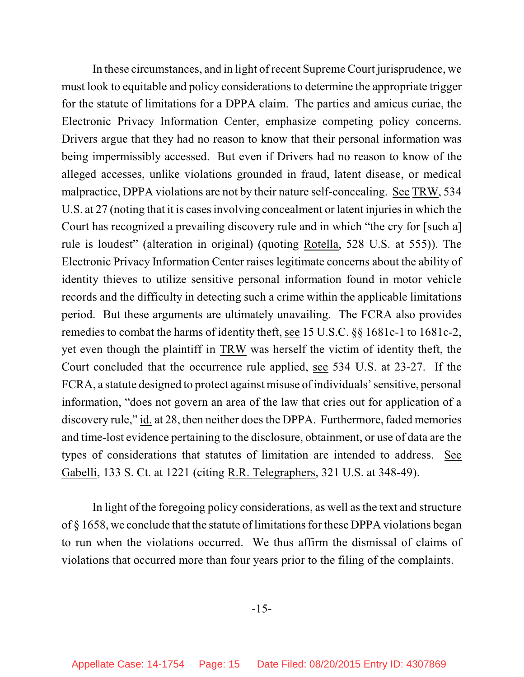In these circumstances, and in light of recent Supreme Court jurisprudence, we must look to equitable and policy considerations to determine the appropriate trigger for the statute of limitations for a DPPA claim. The parties and amicus curiae, the Electronic Privacy Information Center, emphasize competing policy concerns. Drivers argue that they had no reason to know that their personal information was being impermissibly accessed. But even if Drivers had no reason to know of the alleged accesses, unlike violations grounded in fraud, latent disease, or medical malpractice, DPPA violations are not by their nature self-concealing. See TRW, 534 U.S. at 27 (noting that it is cases involving concealment or latent injuries in which the Court has recognized a prevailing discovery rule and in which "the cry for [such a] rule is loudest" (alteration in original) (quoting Rotella, 528 U.S. at 555)). The Electronic Privacy Information Center raises legitimate concerns about the ability of identity thieves to utilize sensitive personal information found in motor vehicle records and the difficulty in detecting such a crime within the applicable limitations period. But these arguments are ultimately unavailing. The FCRA also provides remedies to combat the harms of identity theft, see 15 U.S.C. §§ 1681c-1 to 1681c-2, yet even though the plaintiff in TRW was herself the victim of identity theft, the Court concluded that the occurrence rule applied, see 534 U.S. at 23-27. If the FCRA, a statute designed to protect against misuse of individuals' sensitive, personal information, "does not govern an area of the law that cries out for application of a discovery rule," id. at 28, then neither does the DPPA. Furthermore, faded memories and time-lost evidence pertaining to the disclosure, obtainment, or use of data are the types of considerations that statutes of limitation are intended to address. See Gabelli, 133 S. Ct. at 1221 (citing R.R. Telegraphers, 321 U.S. at 348-49).

In light of the foregoing policy considerations, as well asthe text and structure of  $\S$  1658, we conclude that the statute of limitations for these DPPA violations began to run when the violations occurred. We thus affirm the dismissal of claims of violations that occurred more than four years prior to the filing of the complaints.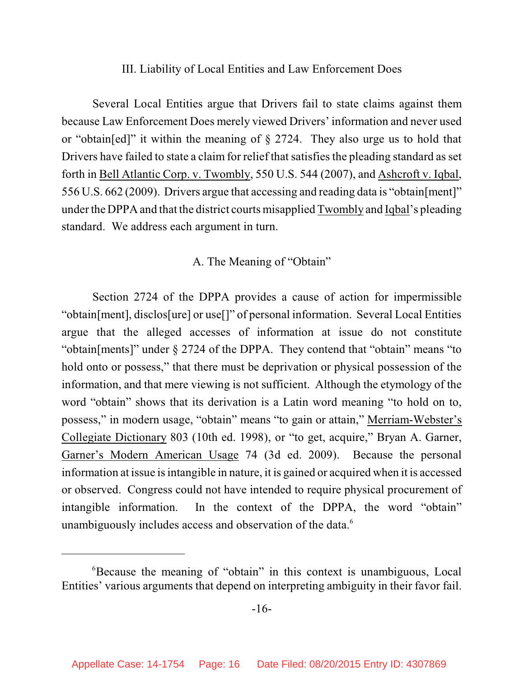## III. Liability of Local Entities and Law Enforcement Does

Several Local Entities argue that Drivers fail to state claims against them because Law Enforcement Does merely viewed Drivers' information and never used or "obtain[ed]" it within the meaning of § 2724. They also urge us to hold that Drivers have failed to state a claim for relief that satisfies the pleading standard as set forth in Bell Atlantic Corp. v. Twombly, 550 U.S. 544 (2007), and Ashcroft v. Iqbal, 556 U.S. 662 (2009). Drivers argue that accessing and reading data is "obtain[ment]" under the DPPA and that the district courts misapplied Twombly and Iqbal's pleading standard. We address each argument in turn.

# A. The Meaning of "Obtain"

Section 2724 of the DPPA provides a cause of action for impermissible "obtain[ment], disclos[ure] or use[]" of personal information. Several Local Entities argue that the alleged accesses of information at issue do not constitute "obtain[ments]" under § 2724 of the DPPA. They contend that "obtain" means "to hold onto or possess," that there must be deprivation or physical possession of the information, and that mere viewing is not sufficient. Although the etymology of the word "obtain" shows that its derivation is a Latin word meaning "to hold on to, possess," in modern usage, "obtain" means "to gain or attain," Merriam-Webster's Collegiate Dictionary 803 (10th ed. 1998), or "to get, acquire," Bryan A. Garner, Garner's Modern American Usage 74 (3d ed. 2009). Because the personal information at issue is intangible in nature, it is gained or acquired when it is accessed or observed. Congress could not have intended to require physical procurement of intangible information. In the context of the DPPA, the word "obtain" unambiguously includes access and observation of the data.<sup>6</sup>

<sup>&</sup>lt;sup>6</sup>Because the meaning of "obtain" in this context is unambiguous, Local Entities' various arguments that depend on interpreting ambiguity in their favor fail.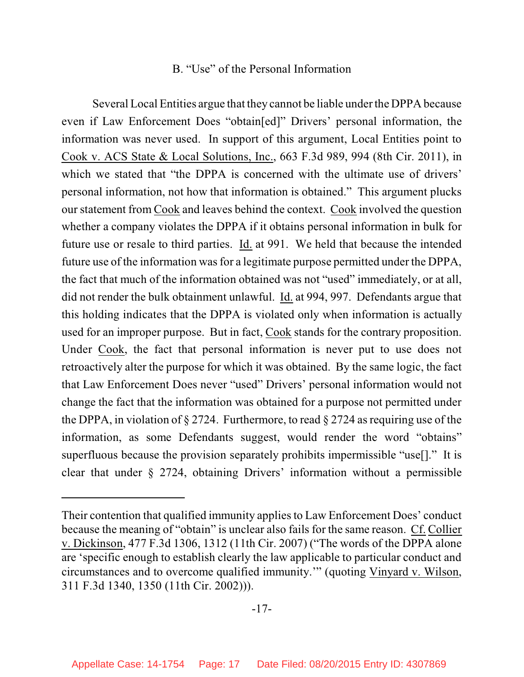## B. "Use" of the Personal Information

Several Local Entities argue that they cannot be liable under the DPPA because even if Law Enforcement Does "obtain[ed]" Drivers' personal information, the information was never used. In support of this argument, Local Entities point to Cook v. ACS State & Local Solutions, Inc., 663 F.3d 989, 994 (8th Cir. 2011), in which we stated that "the DPPA is concerned with the ultimate use of drivers' personal information, not how that information is obtained." This argument plucks our statement from Cook and leaves behind the context. Cook involved the question whether a company violates the DPPA if it obtains personal information in bulk for future use or resale to third parties. Id. at 991. We held that because the intended future use of the information was for a legitimate purpose permitted under the DPPA, the fact that much of the information obtained was not "used" immediately, or at all, did not render the bulk obtainment unlawful. Id. at 994, 997. Defendants argue that this holding indicates that the DPPA is violated only when information is actually used for an improper purpose. But in fact, Cook stands for the contrary proposition. Under Cook, the fact that personal information is never put to use does not retroactively alter the purpose for which it was obtained. By the same logic, the fact that Law Enforcement Does never "used" Drivers' personal information would not change the fact that the information was obtained for a purpose not permitted under the DPPA, in violation of  $\S 2724$ . Furthermore, to read  $\S 2724$  as requiring use of the information, as some Defendants suggest, would render the word "obtains" superfluous because the provision separately prohibits impermissible "use[]." It is clear that under § 2724, obtaining Drivers' information without a permissible

Their contention that qualified immunity applies to Law Enforcement Does' conduct because the meaning of "obtain" is unclear also fails for the same reason. Cf. Collier v. Dickinson, 477 F.3d 1306, 1312 (11th Cir. 2007) ("The words of the DPPA alone are 'specific enough to establish clearly the law applicable to particular conduct and circumstances and to overcome qualified immunity.'" (quoting Vinyard v. Wilson, 311 F.3d 1340, 1350 (11th Cir. 2002))).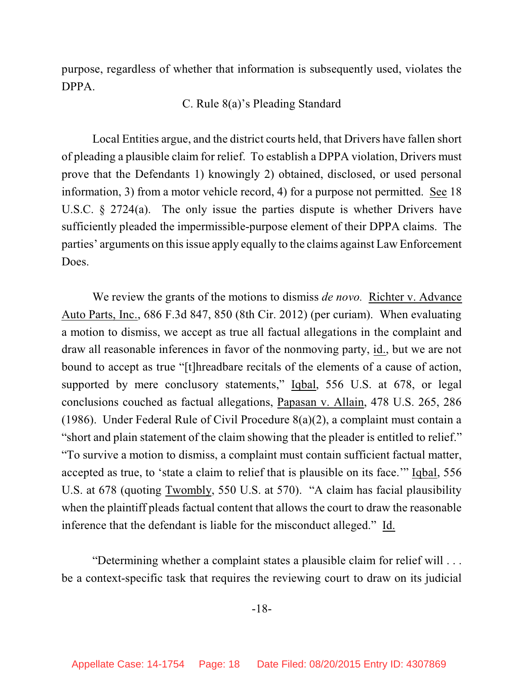purpose, regardless of whether that information is subsequently used, violates the DPPA.

# C. Rule 8(a)'s Pleading Standard

Local Entities argue, and the district courts held, that Drivers have fallen short of pleading a plausible claim for relief. To establish a DPPA violation, Drivers must prove that the Defendants 1) knowingly 2) obtained, disclosed, or used personal information, 3) from a motor vehicle record, 4) for a purpose not permitted. See 18 U.S.C. § 2724(a). The only issue the parties dispute is whether Drivers have sufficiently pleaded the impermissible-purpose element of their DPPA claims. The parties' arguments on thisissue apply equally to the claims against Law Enforcement Does.

We review the grants of the motions to dismiss *de novo.* Richter v. Advance Auto Parts, Inc., 686 F.3d 847, 850 (8th Cir. 2012) (per curiam). When evaluating a motion to dismiss, we accept as true all factual allegations in the complaint and draw all reasonable inferences in favor of the nonmoving party, id., but we are not bound to accept as true "[t]hreadbare recitals of the elements of a cause of action, supported by mere conclusory statements," Iqbal, 556 U.S. at 678, or legal conclusions couched as factual allegations, Papasan v. Allain, 478 U.S. 265, 286 (1986). Under Federal Rule of Civil Procedure 8(a)(2), a complaint must contain a "short and plain statement of the claim showing that the pleader is entitled to relief." "To survive a motion to dismiss, a complaint must contain sufficient factual matter, accepted as true, to 'state a claim to relief that is plausible on its face.'" Iqbal, 556 U.S. at 678 (quoting Twombly, 550 U.S. at 570). "A claim has facial plausibility when the plaintiff pleads factual content that allows the court to draw the reasonable inference that the defendant is liable for the misconduct alleged." Id.

"Determining whether a complaint states a plausible claim for relief will . . . be a context-specific task that requires the reviewing court to draw on its judicial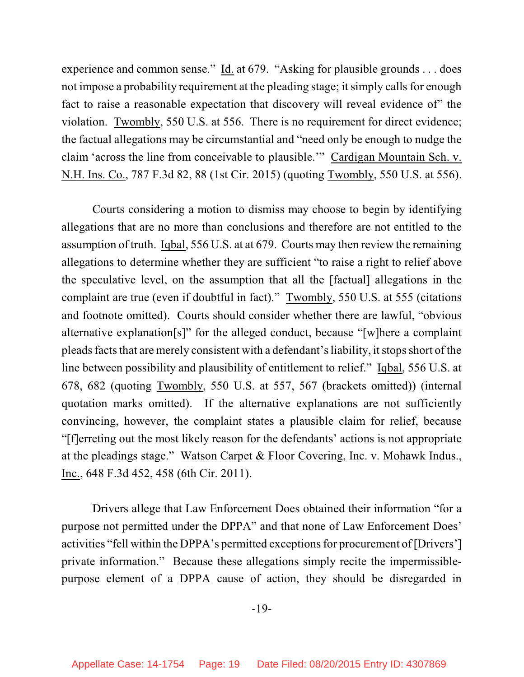experience and common sense." Id. at 679. "Asking for plausible grounds . . . does not impose a probability requirement at the pleading stage; it simply calls for enough fact to raise a reasonable expectation that discovery will reveal evidence of" the violation. Twombly, 550 U.S. at 556. There is no requirement for direct evidence; the factual allegations may be circumstantial and "need only be enough to nudge the claim 'across the line from conceivable to plausible.'" Cardigan Mountain Sch. v. N.H. Ins. Co., 787 F.3d 82, 88 (1st Cir. 2015) (quoting Twombly, 550 U.S. at 556).

Courts considering a motion to dismiss may choose to begin by identifying allegations that are no more than conclusions and therefore are not entitled to the assumption of truth. Iqbal, 556 U.S. at at 679. Courts may then review the remaining allegations to determine whether they are sufficient "to raise a right to relief above the speculative level, on the assumption that all the [factual] allegations in the complaint are true (even if doubtful in fact)." Twombly, 550 U.S. at 555 (citations and footnote omitted). Courts should consider whether there are lawful, "obvious alternative explanation[s]" for the alleged conduct, because "[w]here a complaint pleads facts that are merely consistent with a defendant's liability, it stops short of the line between possibility and plausibility of entitlement to relief." Iqbal, 556 U.S. at 678, 682 (quoting Twombly, 550 U.S. at 557, 567 (brackets omitted)) (internal quotation marks omitted). If the alternative explanations are not sufficiently convincing, however, the complaint states a plausible claim for relief, because "[f]erreting out the most likely reason for the defendants' actions is not appropriate at the pleadings stage." Watson Carpet & Floor Covering, Inc. v. Mohawk Indus., Inc., 648 F.3d 452, 458 (6th Cir. 2011).

Drivers allege that Law Enforcement Does obtained their information "for a purpose not permitted under the DPPA" and that none of Law Enforcement Does' activities "fell within the DPPA's permitted exceptions for procurement of[Drivers'] private information." Because these allegations simply recite the impermissiblepurpose element of a DPPA cause of action, they should be disregarded in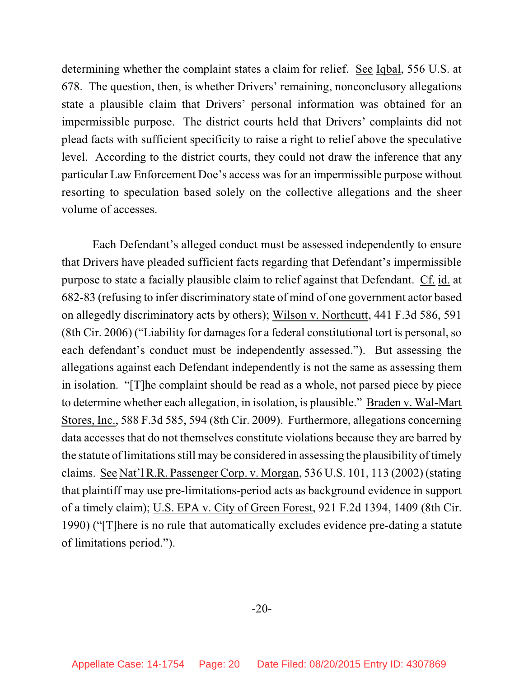determining whether the complaint states a claim for relief. See Iqbal, 556 U.S. at 678.The question, then, is whether Drivers' remaining, nonconclusory allegations state a plausible claim that Drivers' personal information was obtained for an impermissible purpose. The district courts held that Drivers' complaints did not plead facts with sufficient specificity to raise a right to relief above the speculative level. According to the district courts, they could not draw the inference that any particular Law Enforcement Doe's access was for an impermissible purpose without resorting to speculation based solely on the collective allegations and the sheer volume of accesses.

Each Defendant's alleged conduct must be assessed independently to ensure that Drivers have pleaded sufficient facts regarding that Defendant's impermissible purpose to state a facially plausible claim to relief against that Defendant. Cf. id. at 682-83 (refusing to infer discriminatory state of mind of one government actor based on allegedly discriminatory acts by others); Wilson v. Northcutt, 441 F.3d 586, 591  $(8th Cir. 2006)$  ("Liability for damages for a federal constitutional tort is personal, so each defendant's conduct must be independently assessed."). But assessing the allegations against each Defendant independently is not the same as assessing them in isolation. "[T]he complaint should be read as a whole, not parsed piece by piece to determine whether each allegation, in isolation, is plausible." Braden v. Wal-Mart Stores, Inc., 588 F.3d 585, 594 (8th Cir. 2009). Furthermore, allegations concerning data accesses that do not themselves constitute violations because they are barred by the statute of limitations still may be considered in assessing the plausibility of timely claims. See Nat'l R.R. Passenger Corp. v. Morgan, 536 U.S. 101, 113 (2002) (stating that plaintiff may use pre-limitations-period acts as background evidence in support of a timely claim); U.S. EPA v. City of Green Forest, 921 F.2d 1394, 1409 (8th Cir. 1990) ("[T]here is no rule that automatically excludes evidence pre-dating a statute of limitations period.").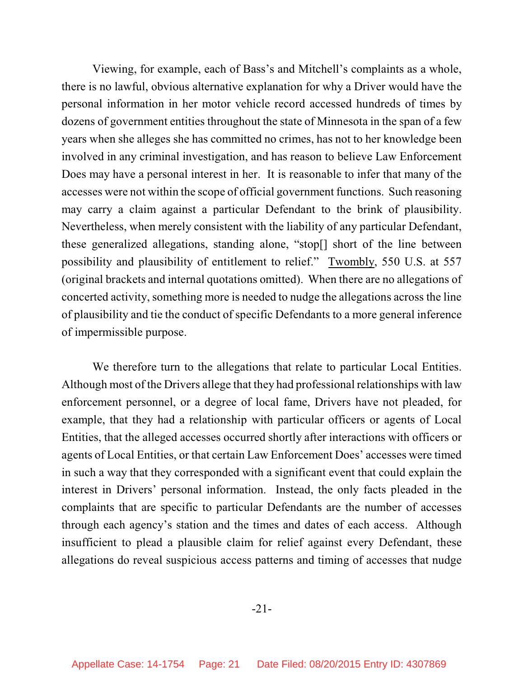Viewing, for example, each of Bass's and Mitchell's complaints as a whole, there is no lawful, obvious alternative explanation for why a Driver would have the personal information in her motor vehicle record accessed hundreds of times by dozens of government entities throughout the state of Minnesota in the span of a few years when she alleges she has committed no crimes, has not to her knowledge been involved in any criminal investigation, and has reason to believe Law Enforcement Does may have a personal interest in her. It is reasonable to infer that many of the accesses were not within the scope of official government functions. Such reasoning may carry a claim against a particular Defendant to the brink of plausibility. Nevertheless, when merely consistent with the liability of any particular Defendant, these generalized allegations, standing alone, "stop[] short of the line between possibility and plausibility of entitlement to relief." Twombly, 550 U.S. at 557 (original brackets and internal quotations omitted). When there are no allegations of concerted activity, something more is needed to nudge the allegations across the line of plausibility and tie the conduct of specific Defendants to a more general inference of impermissible purpose.

We therefore turn to the allegations that relate to particular Local Entities. Although most of the Drivers allege that they had professional relationships with law enforcement personnel, or a degree of local fame, Drivers have not pleaded, for example, that they had a relationship with particular officers or agents of Local Entities, that the alleged accesses occurred shortly after interactions with officers or agents of Local Entities, or that certain Law Enforcement Does' accesses were timed in such a way that they corresponded with a significant event that could explain the interest in Drivers' personal information. Instead, the only facts pleaded in the complaints that are specific to particular Defendants are the number of accesses through each agency's station and the times and dates of each access. Although insufficient to plead a plausible claim for relief against every Defendant, these allegations do reveal suspicious access patterns and timing of accesses that nudge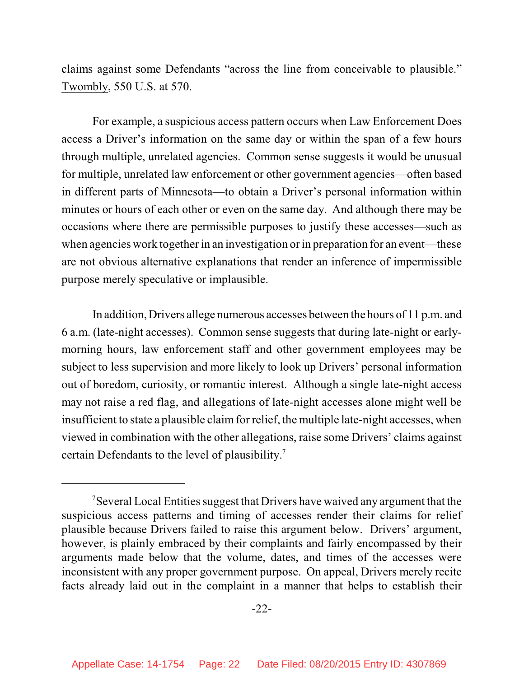claims against some Defendants "across the line from conceivable to plausible." Twombly, 550 U.S. at 570.

For example, a suspicious access pattern occurs when Law Enforcement Does access a Driver's information on the same day or within the span of a few hours through multiple, unrelated agencies. Common sense suggests it would be unusual for multiple, unrelated law enforcement or other government agencies—often based in different parts of Minnesota—to obtain a Driver's personal information within minutes or hours of each other or even on the same day. And although there may be occasions where there are permissible purposes to justify these accesses—such as when agencies work together in an investigation or in preparation for an event—these are not obvious alternative explanations that render an inference of impermissible purpose merely speculative or implausible.

In addition, Drivers allege numerous accesses between the hours of 11 p.m. and 6 a.m. (late-night accesses). Common sense suggests that during late-night or earlymorning hours, law enforcement staff and other government employees may be subject to less supervision and more likely to look up Drivers' personal information out of boredom, curiosity, or romantic interest. Although a single late-night access may not raise a red flag, and allegations of late-night accesses alone might well be insufficient to state a plausible claim for relief, the multiple late-night accesses, when viewed in combination with the other allegations, raise some Drivers' claims against certain Defendants to the level of plausibility. 7

<sup>&</sup>lt;sup>7</sup>Several Local Entities suggest that Drivers have waived any argument that the suspicious access patterns and timing of accesses render their claims for relief plausible because Drivers failed to raise this argument below. Drivers' argument, however, is plainly embraced by their complaints and fairly encompassed by their arguments made below that the volume, dates, and times of the accesses were inconsistent with any proper government purpose. On appeal, Drivers merely recite facts already laid out in the complaint in a manner that helps to establish their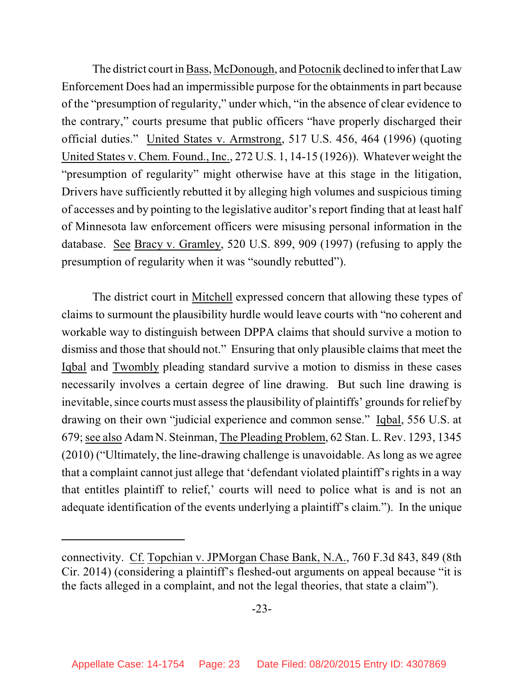The district court in Bass, McDonough, and Potocnik declined to infer that Law Enforcement Does had an impermissible purpose for the obtainmentsin part because of the "presumption of regularity," under which, "in the absence of clear evidence to the contrary," courts presume that public officers "have properly discharged their official duties." United States v. Armstrong, 517 U.S. 456, 464 (1996) (quoting United States v. Chem. Found., Inc., 272 U.S. 1, 14-15 (1926)). Whatever weight the "presumption of regularity" might otherwise have at this stage in the litigation, Drivers have sufficiently rebutted it by alleging high volumes and suspicious timing of accesses and by pointing to the legislative auditor's report finding that at least half of Minnesota law enforcement officers were misusing personal information in the database. See Bracy v. Gramley, 520 U.S. 899, 909 (1997) (refusing to apply the presumption of regularity when it was "soundly rebutted").

The district court in Mitchell expressed concern that allowing these types of claims to surmount the plausibility hurdle would leave courts with "no coherent and workable way to distinguish between DPPA claims that should survive a motion to dismiss and those that should not." Ensuring that only plausible claims that meet the Iqbal and Twombly pleading standard survive a motion to dismiss in these cases necessarily involves a certain degree of line drawing. But such line drawing is inevitable, since courts must assess the plausibility of plaintiffs' grounds for relief by drawing on their own "judicial experience and common sense." Iqbal, 556 U.S. at 679;see also AdamN. Steinman, The Pleading Problem, 62 Stan. L. Rev. 1293, 1345 (2010) ("Ultimately, the line-drawing challenge is unavoidable. As long as we agree that a complaint cannot just allege that 'defendant violated plaintiff's rights in a way that entitles plaintiff to relief,' courts will need to police what is and is not an adequate identification of the events underlying a plaintiff's claim."). In the unique

connectivity. Cf. Topchian v. JPMorgan Chase Bank, N.A., 760 F.3d 843, 849 (8th Cir. 2014) (considering a plaintiff's fleshed-out arguments on appeal because "it is the facts alleged in a complaint, and not the legal theories, that state a claim").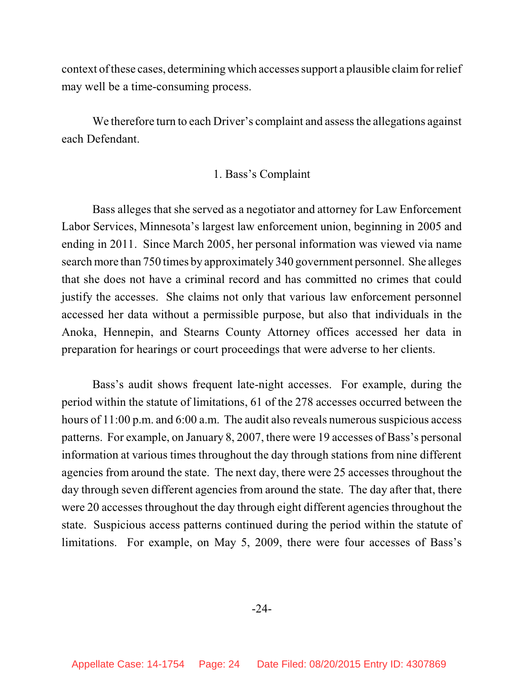context of these cases, determining which accesses support a plausible claim for relief may well be a time-consuming process.

We therefore turn to each Driver's complaint and assess the allegations against each Defendant.

#### 1. Bass's Complaint

Bass alleges that she served as a negotiator and attorney for Law Enforcement Labor Services, Minnesota's largest law enforcement union, beginning in 2005 and ending in 2011. Since March 2005, her personal information was viewed via name search more than 750 times by approximately 340 government personnel. She alleges that she does not have a criminal record and has committed no crimes that could justify the accesses. She claims not only that various law enforcement personnel accessed her data without a permissible purpose, but also that individuals in the Anoka, Hennepin, and Stearns County Attorney offices accessed her data in preparation for hearings or court proceedings that were adverse to her clients.

Bass's audit shows frequent late-night accesses. For example, during the period within the statute of limitations, 61 of the 278 accesses occurred between the hours of  $11:00$  p.m. and  $6:00$  a.m. The audit also reveals numerous suspicious access patterns. For example, on January 8, 2007, there were 19 accesses of Bass's personal information at various times throughout the day through stations from nine different agencies from around the state. The next day, there were 25 accesses throughout the day through seven different agencies from around the state. The day after that, there were 20 accesses throughout the day through eight different agencies throughout the state. Suspicious access patterns continued during the period within the statute of limitations. For example, on May 5, 2009, there were four accesses of Bass's

-24-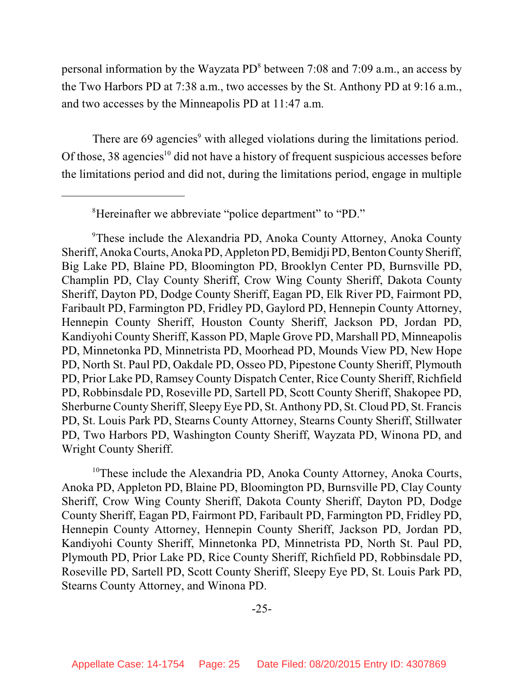personal information by the Wayzata  $PD^8$  between 7:08 and 7:09 a.m., an access by the Two Harbors PD at 7:38 a.m., two accesses by the St. Anthony PD at 9:16 a.m., and two accesses by the Minneapolis PD at 11:47 a.m.

There are  $69$  agencies<sup>9</sup> with alleged violations during the limitations period. Of those, 38 agencies<sup>10</sup> did not have a history of frequent suspicious accesses before the limitations period and did not, during the limitations period, engage in multiple

<sup>9</sup>These include the Alexandria PD, Anoka County Attorney, Anoka County Sheriff, Anoka Courts, Anoka PD, Appleton PD, Bemidji PD, Benton County Sheriff, Big Lake PD, Blaine PD, Bloomington PD, Brooklyn Center PD, Burnsville PD, Champlin PD, Clay County Sheriff, Crow Wing County Sheriff, Dakota County Sheriff, Dayton PD, Dodge County Sheriff, Eagan PD, Elk River PD, Fairmont PD, Faribault PD, Farmington PD, Fridley PD, Gaylord PD, Hennepin County Attorney, Hennepin County Sheriff, Houston County Sheriff, Jackson PD, Jordan PD, Kandiyohi County Sheriff, Kasson PD, Maple Grove PD, Marshall PD, Minneapolis PD, Minnetonka PD, Minnetrista PD, Moorhead PD, Mounds View PD, New Hope PD, North St. Paul PD, Oakdale PD, Osseo PD, Pipestone County Sheriff, Plymouth PD, Prior Lake PD, Ramsey County Dispatch Center, Rice County Sheriff, Richfield PD, Robbinsdale PD, Roseville PD, Sartell PD, Scott County Sheriff, Shakopee PD, Sherburne County Sheriff, Sleepy Eye PD, St. Anthony PD, St. Cloud PD, St. Francis PD, St. Louis Park PD, Stearns County Attorney, Stearns County Sheriff, Stillwater PD, Two Harbors PD, Washington County Sheriff, Wayzata PD, Winona PD, and Wright County Sheriff.

<sup>10</sup>These include the Alexandria PD, Anoka County Attorney, Anoka Courts, Anoka PD, Appleton PD, Blaine PD, Bloomington PD, Burnsville PD, Clay County Sheriff, Crow Wing County Sheriff, Dakota County Sheriff, Dayton PD, Dodge County Sheriff, Eagan PD, Fairmont PD, Faribault PD, Farmington PD, Fridley PD, Hennepin County Attorney, Hennepin County Sheriff, Jackson PD, Jordan PD, Kandiyohi County Sheriff, Minnetonka PD, Minnetrista PD, North St. Paul PD, Plymouth PD, Prior Lake PD, Rice County Sheriff, Richfield PD, Robbinsdale PD, Roseville PD, Sartell PD, Scott County Sheriff, Sleepy Eye PD, St. Louis Park PD, Stearns County Attorney, and Winona PD.

<sup>&</sup>lt;sup>8</sup>Hereinafter we abbreviate "police department" to "PD."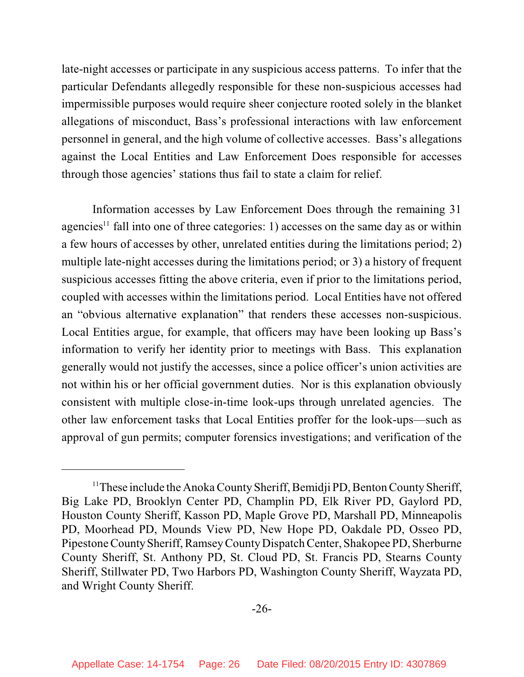late-night accesses or participate in any suspicious access patterns. To infer that the particular Defendants allegedly responsible for these non-suspicious accesses had impermissible purposes would require sheer conjecture rooted solely in the blanket allegations of misconduct, Bass's professional interactions with law enforcement personnel in general, and the high volume of collective accesses. Bass's allegations against the Local Entities and Law Enforcement Does responsible for accesses through those agencies' stations thus fail to state a claim for relief.

Information accesses by Law Enforcement Does through the remaining 31 agencies<sup>11</sup> fall into one of three categories: 1) accesses on the same day as or within a few hours of accesses by other, unrelated entities during the limitations period; 2) multiple late-night accesses during the limitations period; or 3) a history of frequent suspicious accesses fitting the above criteria, even if prior to the limitations period, coupled with accesses within the limitations period. Local Entities have not offered an "obvious alternative explanation" that renders these accesses non-suspicious. Local Entities argue, for example, that officers may have been looking up Bass's information to verify her identity prior to meetings with Bass. This explanation generally would not justify the accesses, since a police officer's union activities are not within his or her official government duties. Nor is this explanation obviously consistent with multiple close-in-time look-ups through unrelated agencies. The other law enforcement tasks that Local Entities proffer for the look-ups—such as approval of gun permits; computer forensics investigations; and verification of the

<sup>&</sup>lt;sup>11</sup> These include the Anoka County Sheriff, Bemidji PD, Benton County Sheriff, Big Lake PD, Brooklyn Center PD, Champlin PD, Elk River PD, Gaylord PD, Houston County Sheriff, Kasson PD, Maple Grove PD, Marshall PD, Minneapolis PD, Moorhead PD, Mounds View PD, New Hope PD, Oakdale PD, Osseo PD, Pipestone CountySheriff, RamseyCounty Dispatch Center, Shakopee PD, Sherburne County Sheriff, St. Anthony PD, St. Cloud PD, St. Francis PD, Stearns County Sheriff, Stillwater PD, Two Harbors PD, Washington County Sheriff, Wayzata PD, and Wright County Sheriff.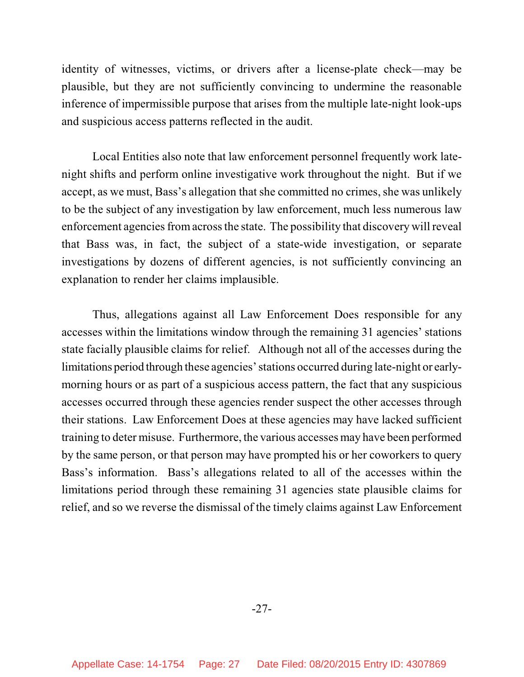identity of witnesses, victims, or drivers after a license-plate check—may be plausible, but they are not sufficiently convincing to undermine the reasonable inference of impermissible purpose that arises from the multiple late-night look-ups and suspicious access patterns reflected in the audit.

Local Entities also note that law enforcement personnel frequently work latenight shifts and perform online investigative work throughout the night. But if we accept, as we must, Bass's allegation that she committed no crimes, she was unlikely to be the subject of any investigation by law enforcement, much less numerous law enforcement agencies from across the state. The possibility that discovery will reveal that Bass was, in fact, the subject of a state-wide investigation, or separate investigations by dozens of different agencies, is not sufficiently convincing an explanation to render her claims implausible.

Thus, allegations against all Law Enforcement Does responsible for any accesses within the limitations window through the remaining 31 agencies' stations state facially plausible claims for relief. Although not all of the accesses during the limitations period through these agencies' stations occurred during late-night or earlymorning hours or as part of a suspicious access pattern, the fact that any suspicious accesses occurred through these agencies render suspect the other accesses through their stations. Law Enforcement Does at these agencies may have lacked sufficient training to deter misuse. Furthermore, the various accesses may have been performed by the same person, or that person may have prompted his or her coworkers to query Bass's information. Bass's allegations related to all of the accesses within the limitations period through these remaining 31 agencies state plausible claims for relief, and so we reverse the dismissal of the timely claims against Law Enforcement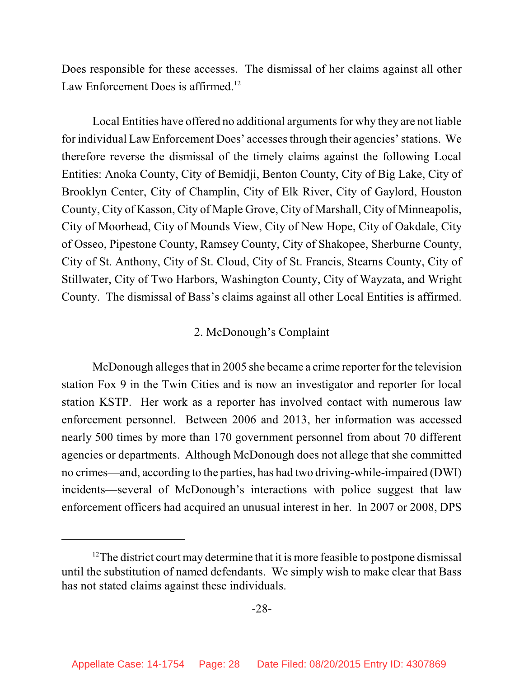Does responsible for these accesses. The dismissal of her claims against all other Law Enforcement Does is affirmed.<sup>12</sup>

Local Entities have offered no additional arguments for why they are not liable for individual Law Enforcement Does' accessesthrough their agencies' stations. We therefore reverse the dismissal of the timely claims against the following Local Entities: Anoka County, City of Bemidji, Benton County, City of Big Lake, City of Brooklyn Center, City of Champlin, City of Elk River, City of Gaylord, Houston County, City of Kasson, City of Maple Grove, City of Marshall, City of Minneapolis, City of Moorhead, City of Mounds View, City of New Hope, City of Oakdale, City of Osseo, Pipestone County, Ramsey County, City of Shakopee, Sherburne County, City of St. Anthony, City of St. Cloud, City of St. Francis, Stearns County, City of Stillwater, City of Two Harbors, Washington County, City of Wayzata, and Wright County. The dismissal of Bass's claims against all other Local Entities is affirmed.

### 2. McDonough's Complaint

McDonough alleges that in 2005 she became a crime reporter for the television station Fox 9 in the Twin Cities and is now an investigator and reporter for local station KSTP. Her work as a reporter has involved contact with numerous law enforcement personnel. Between 2006 and 2013, her information was accessed nearly 500 times by more than 170 government personnel from about 70 different agencies or departments. Although McDonough does not allege that she committed no crimes—and, according to the parties, has had two driving-while-impaired (DWI) incidents—several of McDonough's interactions with police suggest that law enforcement officers had acquired an unusual interest in her. In 2007 or 2008, DPS

 $12$ The district court may determine that it is more feasible to postpone dismissal until the substitution of named defendants. We simply wish to make clear that Bass has not stated claims against these individuals.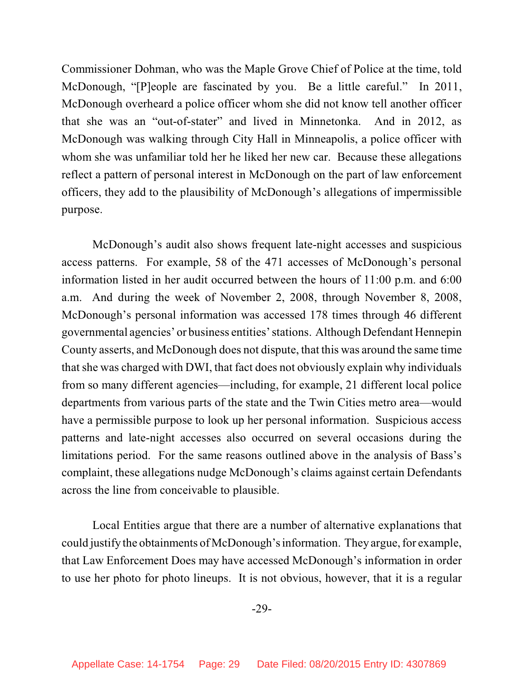Commissioner Dohman, who was the Maple Grove Chief of Police at the time, told McDonough, "[P]eople are fascinated by you. Be a little careful." In 2011, McDonough overheard a police officer whom she did not know tell another officer that she was an "out-of-stater" and lived in Minnetonka. And in 2012, as McDonough was walking through City Hall in Minneapolis, a police officer with whom she was unfamiliar told her he liked her new car. Because these allegations reflect a pattern of personal interest in McDonough on the part of law enforcement officers, they add to the plausibility of McDonough's allegations of impermissible purpose.

McDonough's audit also shows frequent late-night accesses and suspicious access patterns. For example, 58 of the 471 accesses of McDonough's personal information listed in her audit occurred between the hours of 11:00 p.m. and 6:00 a.m. And during the week of November 2, 2008, through November 8, 2008, McDonough's personal information was accessed 178 times through 46 different governmental agencies' or business entities' stations. Although Defendant Hennepin County asserts, and McDonough does not dispute, that this was around the same time that she was charged with DWI, that fact does not obviously explain why individuals from so many different agencies—including, for example, 21 different local police departments from various parts of the state and the Twin Cities metro area—would have a permissible purpose to look up her personal information. Suspicious access patterns and late-night accesses also occurred on several occasions during the limitations period. For the same reasons outlined above in the analysis of Bass's complaint, these allegations nudge McDonough's claims against certain Defendants across the line from conceivable to plausible.

Local Entities argue that there are a number of alternative explanations that could justify the obtainments of McDonough's information. They argue, for example, that Law Enforcement Does may have accessed McDonough's information in order to use her photo for photo lineups. It is not obvious, however, that it is a regular

-29-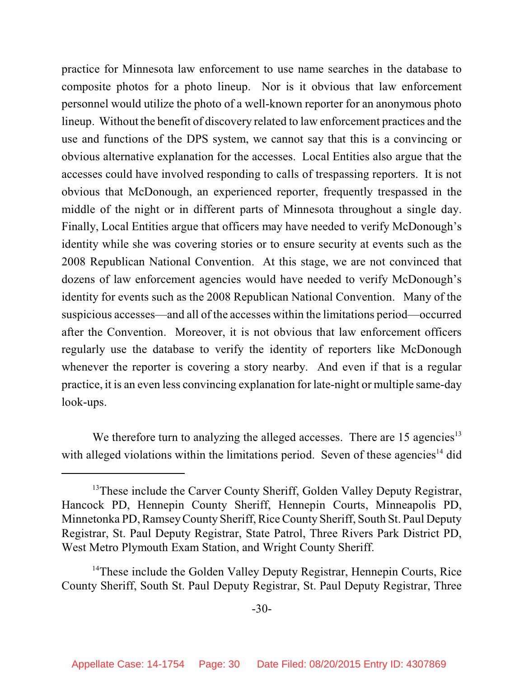practice for Minnesota law enforcement to use name searches in the database to composite photos for a photo lineup. Nor is it obvious that law enforcement personnel would utilize the photo of a well-known reporter for an anonymous photo lineup. Without the benefit of discovery related to law enforcement practices and the use and functions of the DPS system, we cannot say that this is a convincing or obvious alternative explanation for the accesses. Local Entities also argue that the accesses could have involved responding to calls of trespassing reporters. It is not obvious that McDonough, an experienced reporter, frequently trespassed in the middle of the night or in different parts of Minnesota throughout a single day. Finally, Local Entities argue that officers may have needed to verify McDonough's identity while she was covering stories or to ensure security at events such as the 2008 Republican National Convention. At this stage, we are not convinced that dozens of law enforcement agencies would have needed to verify McDonough's identity for events such as the 2008 Republican National Convention. Many of the suspicious accesses—and all of the accesses within the limitations period—occurred after the Convention. Moreover, it is not obvious that law enforcement officers regularly use the database to verify the identity of reporters like McDonough whenever the reporter is covering a story nearby. And even if that is a regular practice, it is an even less convincing explanation for late-night or multiple same-day look-ups.

We therefore turn to analyzing the alleged accesses. There are  $15$  agencies<sup>13</sup> with alleged violations within the limitations period. Seven of these agencies $14$  did

 $13$ These include the Carver County Sheriff, Golden Valley Deputy Registrar, Hancock PD, Hennepin County Sheriff, Hennepin Courts, Minneapolis PD, Minnetonka PD, RamseyCounty Sheriff, Rice County Sheriff, South St. Paul Deputy Registrar, St. Paul Deputy Registrar, State Patrol, Three Rivers Park District PD, West Metro Plymouth Exam Station, and Wright County Sheriff.

<sup>&</sup>lt;sup>14</sup>These include the Golden Valley Deputy Registrar, Hennepin Courts, Rice County Sheriff, South St. Paul Deputy Registrar, St. Paul Deputy Registrar, Three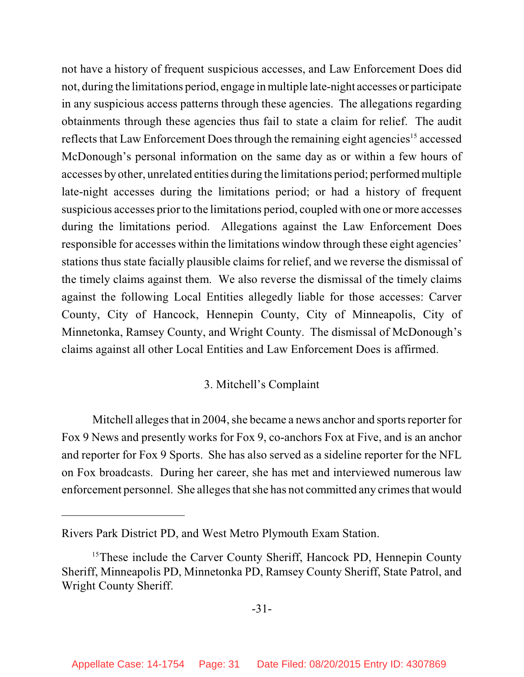not have a history of frequent suspicious accesses, and Law Enforcement Does did not, during the limitations period, engage in multiple late-night accesses or participate in any suspicious access patterns through these agencies. The allegations regarding obtainments through these agencies thus fail to state a claim for relief. The audit reflects that Law Enforcement Does through the remaining eight agencies<sup>15</sup> accessed McDonough's personal information on the same day as or within a few hours of accesses by other, unrelated entities during the limitations period; performed multiple late-night accesses during the limitations period; or had a history of frequent suspicious accesses prior to the limitations period, coupled with one or more accesses during the limitations period. Allegations against the Law Enforcement Does responsible for accesses within the limitations window through these eight agencies' stations thus state facially plausible claims for relief, and we reverse the dismissal of the timely claims against them. We also reverse the dismissal of the timely claims against the following Local Entities allegedly liable for those accesses: Carver County, City of Hancock, Hennepin County, City of Minneapolis, City of Minnetonka, Ramsey County, and Wright County. The dismissal of McDonough's claims against all other Local Entities and Law Enforcement Does is affirmed.

# 3. Mitchell's Complaint

Mitchell alleges that in 2004, she became a news anchor and sports reporter for Fox 9 News and presently works for Fox 9, co-anchors Fox at Five, and is an anchor and reporter for Fox 9 Sports. She has also served as a sideline reporter for the NFL on Fox broadcasts. During her career, she has met and interviewed numerous law enforcement personnel. She alleges that she has not committed any crimes that would

Rivers Park District PD, and West Metro Plymouth Exam Station.

 $15$ These include the Carver County Sheriff, Hancock PD, Hennepin County Sheriff, Minneapolis PD, Minnetonka PD, Ramsey County Sheriff, State Patrol, and Wright County Sheriff.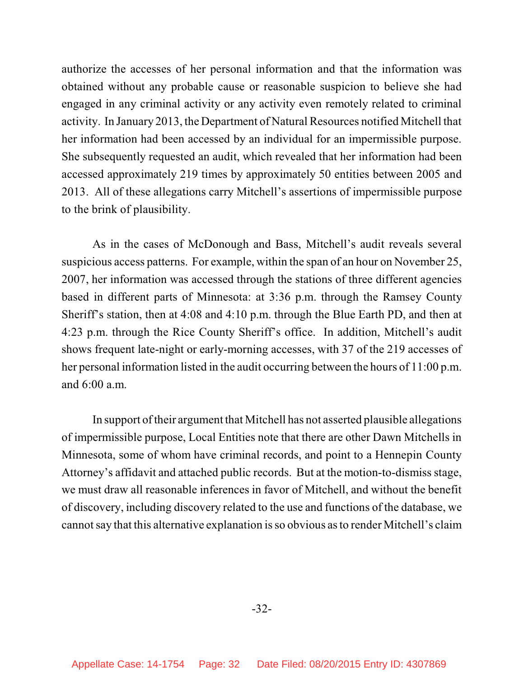authorize the accesses of her personal information and that the information was obtained without any probable cause or reasonable suspicion to believe she had engaged in any criminal activity or any activity even remotely related to criminal activity. In January 2013, the Department of Natural Resources notified Mitchell that her information had been accessed by an individual for an impermissible purpose. She subsequently requested an audit, which revealed that her information had been accessed approximately 219 times by approximately 50 entities between 2005 and 2013. All of these allegations carry Mitchell's assertions of impermissible purpose to the brink of plausibility.

As in the cases of McDonough and Bass, Mitchell's audit reveals several suspicious access patterns. For example, within the span of an hour on November 25, 2007, her information was accessed through the stations of three different agencies based in different parts of Minnesota: at 3:36 p.m. through the Ramsey County Sheriff's station, then at 4:08 and 4:10 p.m. through the Blue Earth PD, and then at 4:23 p.m. through the Rice County Sheriff's office. In addition, Mitchell's audit shows frequent late-night or early-morning accesses, with 37 of the 219 accesses of her personal information listed in the audit occurring between the hours of 11:00 p.m. and 6:00 a.m.

In support oftheir argument that Mitchell has not asserted plausible allegations of impermissible purpose, Local Entities note that there are other Dawn Mitchells in Minnesota, some of whom have criminal records, and point to a Hennepin County Attorney's affidavit and attached public records. But at the motion-to-dismiss stage, we must draw all reasonable inferences in favor of Mitchell, and without the benefit of discovery, including discovery related to the use and functions of the database, we cannot say that this alternative explanation isso obvious asto render Mitchell's claim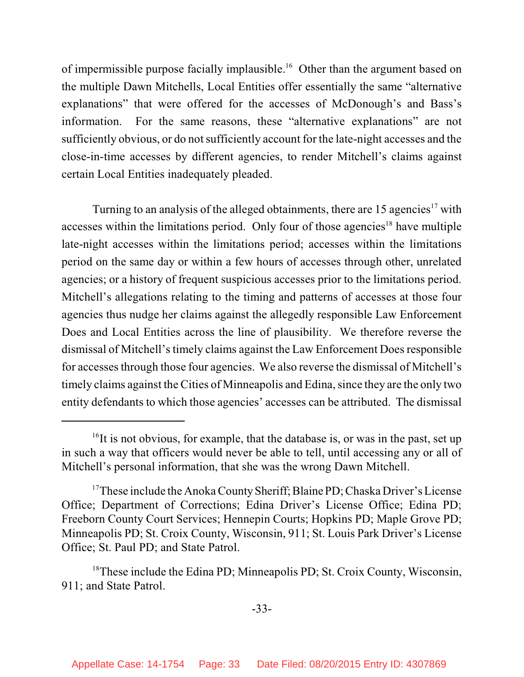of impermissible purpose facially implausible.<sup>16</sup> Other than the argument based on the multiple Dawn Mitchells, Local Entities offer essentially the same "alternative explanations" that were offered for the accesses of McDonough's and Bass's information. For the same reasons, these "alternative explanations" are not sufficiently obvious, or do not sufficiently account for the late-night accesses and the close-in-time accesses by different agencies, to render Mitchell's claims against certain Local Entities inadequately pleaded.

Turning to an analysis of the alleged obtainments, there are  $15$  agencies<sup>17</sup> with accesses within the limitations period. Only four of those agencies<sup>18</sup> have multiple late-night accesses within the limitations period; accesses within the limitations period on the same day or within a few hours of accesses through other, unrelated agencies; or a history of frequent suspicious accesses prior to the limitations period. Mitchell's allegations relating to the timing and patterns of accesses at those four agencies thus nudge her claims against the allegedly responsible Law Enforcement Does and Local Entities across the line of plausibility. We therefore reverse the dismissal of Mitchell's timely claims against the Law Enforcement Does responsible for accessesthrough those four agencies. We also reverse the dismissal of Mitchell's timely claims against the Cities of Minneapolis and Edina, since they are the only two entity defendants to which those agencies' accesses can be attributed. The dismissal

 $16$ It is not obvious, for example, that the database is, or was in the past, set up in such a way that officers would never be able to tell, until accessing any or all of Mitchell's personal information, that she was the wrong Dawn Mitchell.

<sup>&</sup>lt;sup>17</sup>These include the Anoka County Sheriff; Blaine PD; Chaska Driver's License Office; Department of Corrections; Edina Driver's License Office; Edina PD; Freeborn County Court Services; Hennepin Courts; Hopkins PD; Maple Grove PD; Minneapolis PD; St. Croix County, Wisconsin, 911; St. Louis Park Driver's License Office; St. Paul PD; and State Patrol.

 $18$ These include the Edina PD; Minneapolis PD; St. Croix County, Wisconsin, 911; and State Patrol.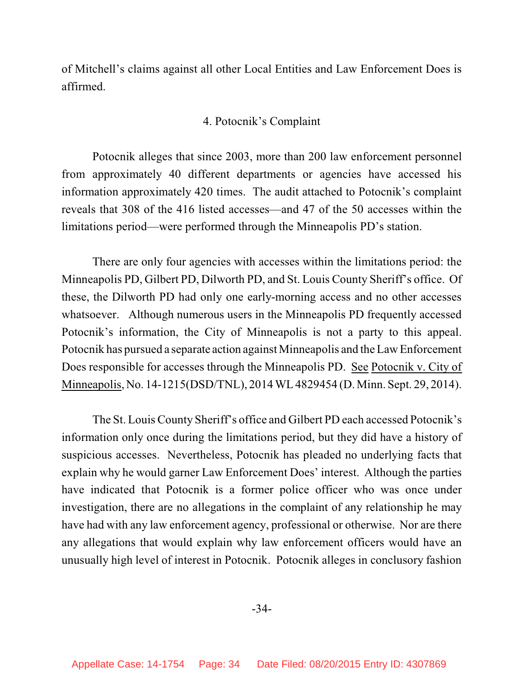of Mitchell's claims against all other Local Entities and Law Enforcement Does is affirmed.

# 4. Potocnik's Complaint

Potocnik alleges that since 2003, more than 200 law enforcement personnel from approximately 40 different departments or agencies have accessed his information approximately 420 times. The audit attached to Potocnik's complaint reveals that 308 of the 416 listed accesses—and 47 of the 50 accesses within the limitations period—were performed through the Minneapolis PD's station.

There are only four agencies with accesses within the limitations period: the Minneapolis PD, Gilbert PD, Dilworth PD, and St. Louis County Sheriff's office. Of these, the Dilworth PD had only one early-morning access and no other accesses whatsoever. Although numerous users in the Minneapolis PD frequently accessed Potocnik's information, the City of Minneapolis is not a party to this appeal. Potocnik has pursued a separate action against Minneapolis and the Law Enforcement Does responsible for accesses through the Minneapolis PD. See Potocnik v. City of Minneapolis, No. 14-1215(DSD/TNL), 2014WL 4829454 (D. Minn. Sept. 29, 2014).

The St. Louis County Sheriff's office and Gilbert PD each accessed Potocnik's information only once during the limitations period, but they did have a history of suspicious accesses. Nevertheless, Potocnik has pleaded no underlying facts that explain why he would garner Law Enforcement Does' interest. Although the parties have indicated that Potocnik is a former police officer who was once under investigation, there are no allegations in the complaint of any relationship he may have had with any law enforcement agency, professional or otherwise. Nor are there any allegations that would explain why law enforcement officers would have an unusually high level of interest in Potocnik. Potocnik alleges in conclusory fashion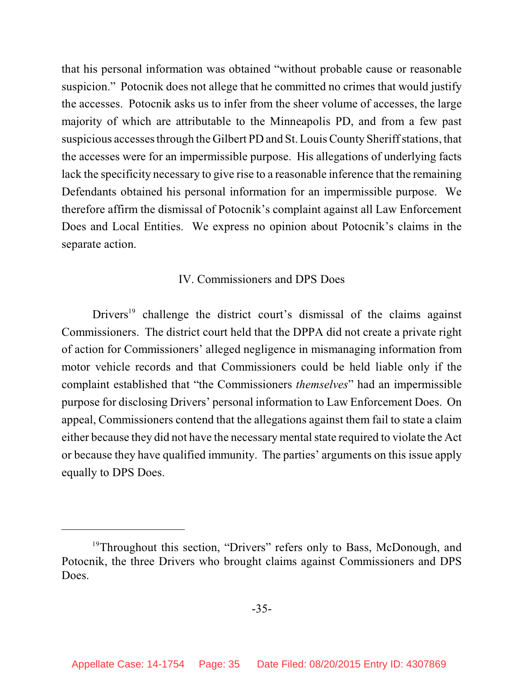that his personal information was obtained "without probable cause or reasonable suspicion." Potocnik does not allege that he committed no crimes that would justify the accesses. Potocnik asks us to infer from the sheer volume of accesses, the large majority of which are attributable to the Minneapolis PD, and from a few past suspicious accesses through the Gilbert PD and St. Louis County Sheriff stations, that the accesses were for an impermissible purpose. His allegations of underlying facts lack the specificity necessary to give rise to a reasonable inference that the remaining Defendants obtained his personal information for an impermissible purpose. We therefore affirm the dismissal of Potocnik's complaint against all Law Enforcement Does and Local Entities. We express no opinion about Potocnik's claims in the separate action.

# IV. Commissioners and DPS Does

Drivers<sup>19</sup> challenge the district court's dismissal of the claims against Commissioners. The district court held that the DPPA did not create a private right of action for Commissioners' alleged negligence in mismanaging information from motor vehicle records and that Commissioners could be held liable only if the complaint established that "the Commissioners *themselves*" had an impermissible purpose for disclosing Drivers' personal information to Law Enforcement Does. On appeal, Commissioners contend that the allegations against them fail to state a claim either because they did not have the necessary mental state required to violate the Act or because they have qualified immunity. The parties' arguments on this issue apply equally to DPS Does.

<sup>&</sup>lt;sup>19</sup>Throughout this section, "Drivers" refers only to Bass, McDonough, and Potocnik, the three Drivers who brought claims against Commissioners and DPS Does.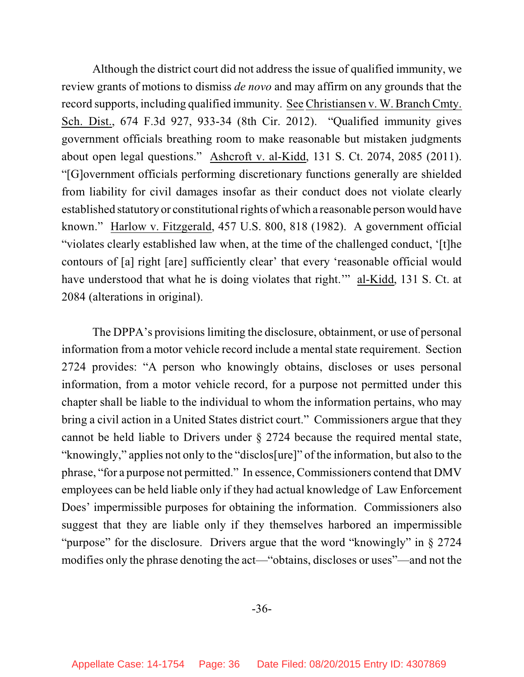Although the district court did not address the issue of qualified immunity, we review grants of motions to dismiss *de novo* and may affirm on any grounds that the record supports, including qualified immunity. See Christiansen v. W. Branch Cmty. Sch. Dist., 674 F.3d 927, 933-34 (8th Cir. 2012). "Qualified immunity gives government officials breathing room to make reasonable but mistaken judgments about open legal questions." Ashcroft v. al-Kidd, 131 S. Ct. 2074, 2085 (2011). "[G]overnment officials performing discretionary functions generally are shielded from liability for civil damages insofar as their conduct does not violate clearly established statutory or constitutional rights of which a reasonable person would have known." Harlow v. Fitzgerald, 457 U.S. 800, 818 (1982). A government official "violates clearly established law when, at the time of the challenged conduct, '[t]he contours of [a] right [are] sufficiently clear' that every 'reasonable official would have understood that what he is doing violates that right." al-Kidd, 131 S. Ct. at 2084 (alterations in original).

The DPPA's provisions limiting the disclosure, obtainment, or use of personal information from a motor vehicle record include a mental state requirement. Section 2724 provides: "A person who knowingly obtains, discloses or uses personal information, from a motor vehicle record, for a purpose not permitted under this chapter shall be liable to the individual to whom the information pertains, who may bring a civil action in a United States district court." Commissioners argue that they cannot be held liable to Drivers under § 2724 because the required mental state, "knowingly," applies not only to the "disclos[ure]" of the information, but also to the phrase, "for a purpose not permitted." In essence, Commissioners contend that DMV employees can be held liable only if they had actual knowledge of Law Enforcement Does' impermissible purposes for obtaining the information. Commissioners also suggest that they are liable only if they themselves harbored an impermissible "purpose" for the disclosure. Drivers argue that the word "knowingly" in § 2724 modifies only the phrase denoting the act—"obtains, discloses or uses"—and not the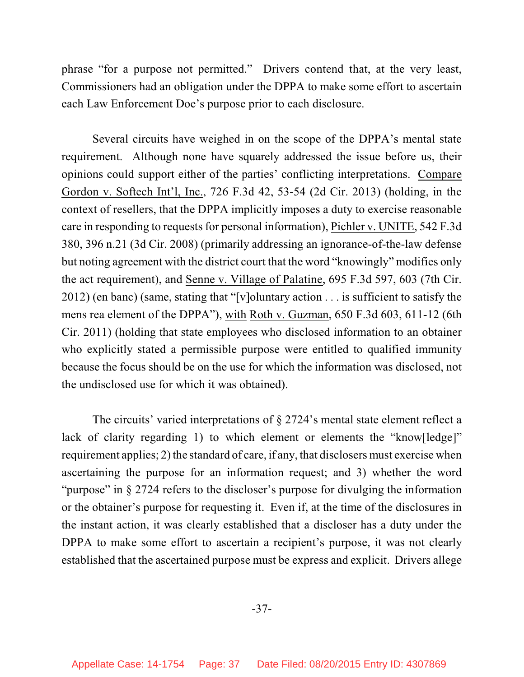phrase "for a purpose not permitted." Drivers contend that, at the very least, Commissioners had an obligation under the DPPA to make some effort to ascertain each Law Enforcement Doe's purpose prior to each disclosure.

Several circuits have weighed in on the scope of the DPPA's mental state requirement. Although none have squarely addressed the issue before us, their opinions could support either of the parties' conflicting interpretations. Compare Gordon v. Softech Int'l, Inc., 726 F.3d 42, 53-54 (2d Cir. 2013) (holding, in the context of resellers, that the DPPA implicitly imposes a duty to exercise reasonable care in responding to requests for personal information), Pichler v. UNITE, 542 F.3d 380, 396 n.21 (3d Cir. 2008) (primarily addressing an ignorance-of-the-law defense but noting agreement with the district court that the word "knowingly" modifies only the act requirement), and Senne v. Village of Palatine, 695 F.3d 597, 603 (7th Cir. 2012) (en banc) (same, stating that "[v]oluntary action . . . is sufficient to satisfy the mens rea element of the DPPA"), with Roth v. Guzman, 650 F.3d 603, 611-12 (6th Cir. 2011) (holding that state employees who disclosed information to an obtainer who explicitly stated a permissible purpose were entitled to qualified immunity because the focus should be on the use for which the information was disclosed, not the undisclosed use for which it was obtained).

The circuits' varied interpretations of § 2724's mental state element reflect a lack of clarity regarding 1) to which element or elements the "know [ledge]" requirement applies;  $2$ ) the standard of care, if any, that disclosers must exercise when ascertaining the purpose for an information request; and 3) whether the word "purpose" in § 2724 refers to the discloser's purpose for divulging the information or the obtainer's purpose for requesting it. Even if, at the time of the disclosures in the instant action, it was clearly established that a discloser has a duty under the DPPA to make some effort to ascertain a recipient's purpose, it was not clearly established that the ascertained purpose must be express and explicit. Drivers allege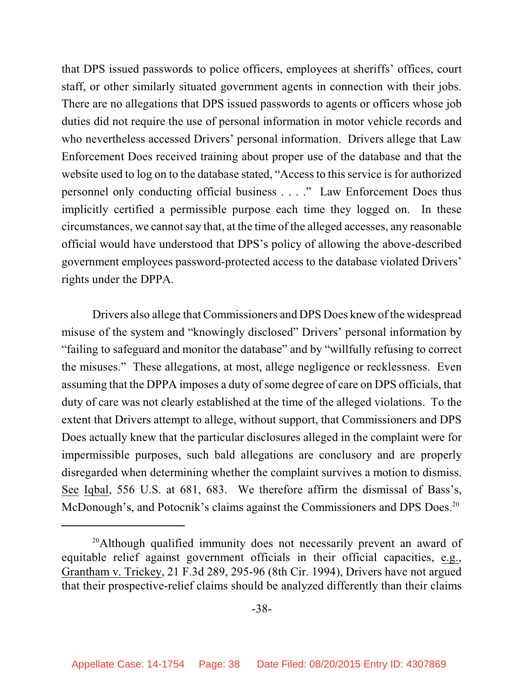that DPS issued passwords to police officers, employees at sheriffs' offices, court staff, or other similarly situated government agents in connection with their jobs. There are no allegations that DPS issued passwords to agents or officers whose job duties did not require the use of personal information in motor vehicle records and who nevertheless accessed Drivers' personal information. Drivers allege that Law Enforcement Does received training about proper use of the database and that the website used to log on to the database stated, "Access to this service is for authorized personnel only conducting official business . . . ." Law Enforcement Does thus implicitly certified a permissible purpose each time they logged on. In these circumstances, we cannot say that, at the time of the alleged accesses, any reasonable official would have understood that DPS's policy of allowing the above-described government employees password-protected access to the database violated Drivers' rights under the DPPA.

Drivers also allege that Commissioners and DPS Does knew of the widespread misuse of the system and "knowingly disclosed" Drivers' personal information by "failing to safeguard and monitor the database" and by "willfully refusing to correct the misuses." These allegations, at most, allege negligence or recklessness. Even assuming that the DPPA imposes a duty of some degree of care on DPS officials, that duty of care was not clearly established at the time of the alleged violations. To the extent that Drivers attempt to allege, without support, that Commissioners and DPS Does actually knew that the particular disclosures alleged in the complaint were for impermissible purposes, such bald allegations are conclusory and are properly disregarded when determining whether the complaint survives a motion to dismiss. See Iqbal, 556 U.S. at 681, 683. We therefore affirm the dismissal of Bass's, McDonough's, and Potocnik's claims against the Commissioners and DPS Does.<sup>20</sup>

 $20$ Although qualified immunity does not necessarily prevent an award of equitable relief against government officials in their official capacities, e.g., Grantham v. Trickey, 21 F.3d 289, 295-96 (8th Cir. 1994), Drivers have not argued that their prospective-relief claims should be analyzed differently than their claims